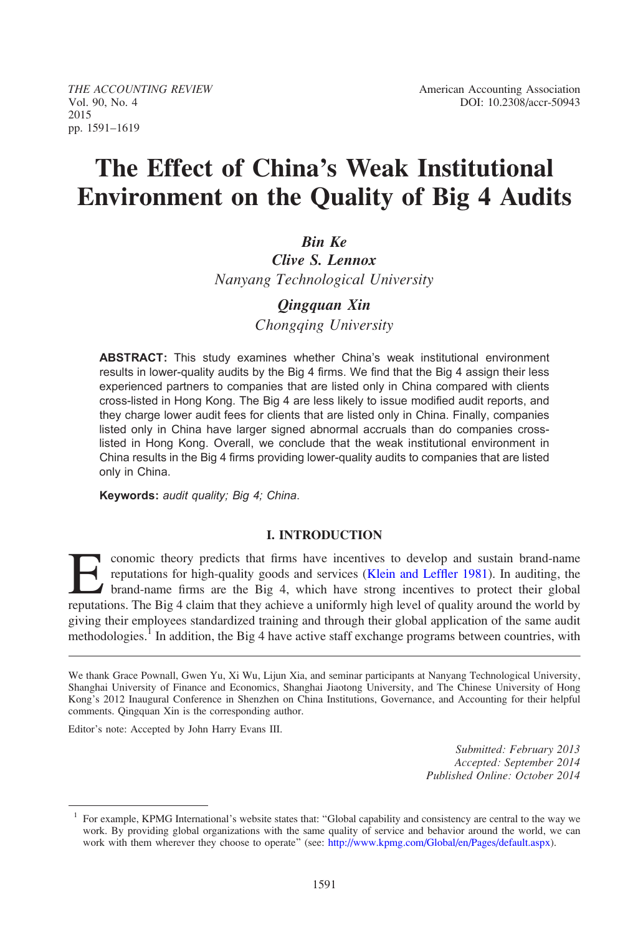2015 pp. 1591–1619

# The Effect of China's Weak Institutional Environment on the Quality of Big 4 Audits

# Bin Ke

Clive S. Lennox Nanyang Technological University

## Qingquan Xin

Chongqing University

ABSTRACT: This study examines whether China's weak institutional environment results in lower-quality audits by the Big 4 firms. We find that the Big 4 assign their less experienced partners to companies that are listed only in China compared with clients cross-listed in Hong Kong. The Big 4 are less likely to issue modified audit reports, and they charge lower audit fees for clients that are listed only in China. Finally, companies listed only in China have larger signed abnormal accruals than do companies crosslisted in Hong Kong. Overall, we conclude that the weak institutional environment in China results in the Big 4 firms providing lower-quality audits to companies that are listed only in China.

Keywords: audit quality; Big 4; China.

#### I. INTRODUCTION

conomic theory predicts that firms have incentives to develop and sustain brand-name<br>reputations for high-quality goods and services (Klein and Leffler 1981). In auditing, the<br>brand-name firms are the Big 4, which have str reputations for high-quality goods and services (Klein and Leffler 1981). In auditing, the brand-name firms are the Big 4, which have strong incentives to protect their global reputations. The Big 4 claim that they achieve a uniformly high level of quality around the world by giving their employees standardized training and through their global application of the same audit methodologies.<sup>1</sup> In addition, the Big 4 have active staff exchange programs between countries, with

Editor's note: Accepted by John Harry Evans III.

Submitted: February 2013 Accepted: September 2014 Published Online: October 2014

We thank Grace Pownall, Gwen Yu, Xi Wu, Lijun Xia, and seminar participants at Nanyang Technological University, Shanghai University of Finance and Economics, Shanghai Jiaotong University, and The Chinese University of Hong Kong's 2012 Inaugural Conference in Shenzhen on China Institutions, Governance, and Accounting for their helpful comments. Qingquan Xin is the corresponding author.

<sup>1</sup> For example, KPMG International's website states that: ''Global capability and consistency are central to the way we work. By providing global organizations with the same quality of service and behavior around the world, we can work with them wherever they choose to operate'' (see: <http://www.kpmg.com/Global/en/Pages/default.aspx>).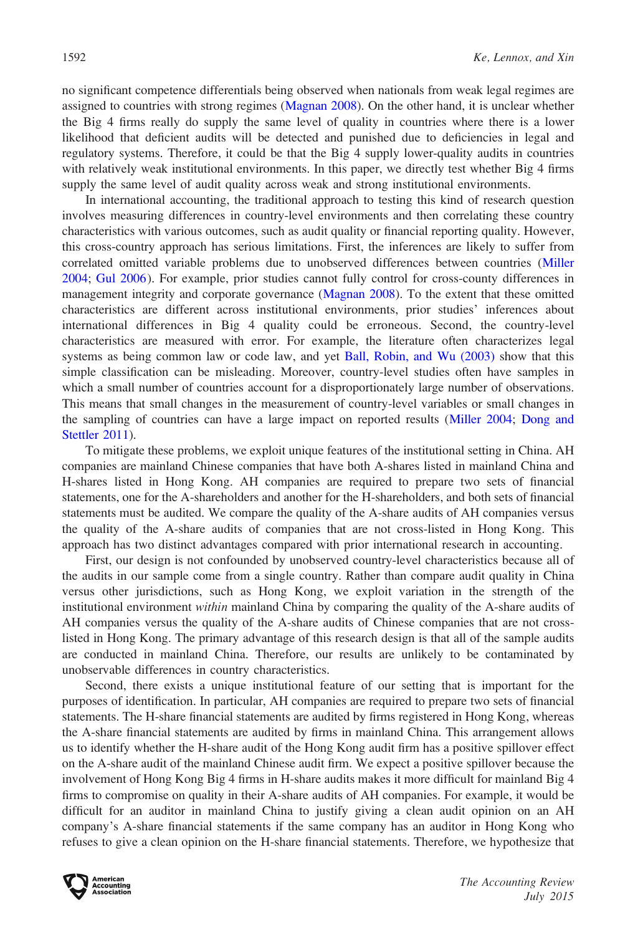no significant competence differentials being observed when nationals from weak legal regimes are assigned to countries with strong regimes [\(Magnan 2008](#page-28-0)). On the other hand, it is unclear whether the Big 4 firms really do supply the same level of quality in countries where there is a lower likelihood that deficient audits will be detected and punished due to deficiencies in legal and regulatory systems. Therefore, it could be that the Big 4 supply lower-quality audits in countries with relatively weak institutional environments. In this paper, we directly test whether Big 4 firms supply the same level of audit quality across weak and strong institutional environments.

In international accounting, the traditional approach to testing this kind of research question involves measuring differences in country-level environments and then correlating these country characteristics with various outcomes, such as audit quality or financial reporting quality. However, this cross-country approach has serious limitations. First, the inferences are likely to suffer from correlated omitted variable problems due to unobserved differences between countries [\(Miller](#page-28-0) [2004;](#page-28-0) [Gul 2006](#page-27-0)). For example, prior studies cannot fully control for cross-county differences in management integrity and corporate governance ([Magnan 2008\)](#page-28-0). To the extent that these omitted characteristics are different across institutional environments, prior studies' inferences about international differences in Big 4 quality could be erroneous. Second, the country-level characteristics are measured with error. For example, the literature often characterizes legal systems as being common law or code law, and yet [Ball, Robin, and Wu \(2003\)](#page-27-0) show that this simple classification can be misleading. Moreover, country-level studies often have samples in which a small number of countries account for a disproportionately large number of observations. This means that small changes in the measurement of country-level variables or small changes in the sampling of countries can have a large impact on reported results ([Miller 2004;](#page-28-0) [Dong and](#page-27-0) [Stettler 2011](#page-27-0)).

To mitigate these problems, we exploit unique features of the institutional setting in China. AH companies are mainland Chinese companies that have both A-shares listed in mainland China and H-shares listed in Hong Kong. AH companies are required to prepare two sets of financial statements, one for the A-shareholders and another for the H-shareholders, and both sets of financial statements must be audited. We compare the quality of the A-share audits of AH companies versus the quality of the A-share audits of companies that are not cross-listed in Hong Kong. This approach has two distinct advantages compared with prior international research in accounting.

First, our design is not confounded by unobserved country-level characteristics because all of the audits in our sample come from a single country. Rather than compare audit quality in China versus other jurisdictions, such as Hong Kong, we exploit variation in the strength of the institutional environment *within* mainland China by comparing the quality of the A-share audits of AH companies versus the quality of the A-share audits of Chinese companies that are not crosslisted in Hong Kong. The primary advantage of this research design is that all of the sample audits are conducted in mainland China. Therefore, our results are unlikely to be contaminated by unobservable differences in country characteristics.

Second, there exists a unique institutional feature of our setting that is important for the purposes of identification. In particular, AH companies are required to prepare two sets of financial statements. The H-share financial statements are audited by firms registered in Hong Kong, whereas the A-share financial statements are audited by firms in mainland China. This arrangement allows us to identify whether the H-share audit of the Hong Kong audit firm has a positive spillover effect on the A-share audit of the mainland Chinese audit firm. We expect a positive spillover because the involvement of Hong Kong Big 4 firms in H-share audits makes it more difficult for mainland Big 4 firms to compromise on quality in their A-share audits of AH companies. For example, it would be difficult for an auditor in mainland China to justify giving a clean audit opinion on an AH company's A-share financial statements if the same company has an auditor in Hong Kong who refuses to give a clean opinion on the H-share financial statements. Therefore, we hypothesize that

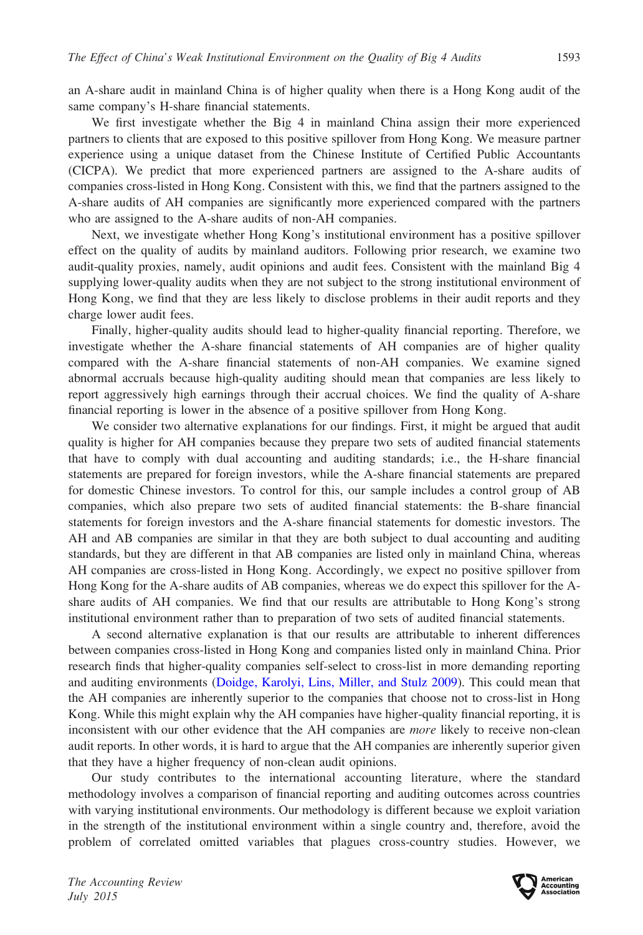an A-share audit in mainland China is of higher quality when there is a Hong Kong audit of the same company's H-share financial statements.

We first investigate whether the Big 4 in mainland China assign their more experienced partners to clients that are exposed to this positive spillover from Hong Kong. We measure partner experience using a unique dataset from the Chinese Institute of Certified Public Accountants (CICPA). We predict that more experienced partners are assigned to the A-share audits of companies cross-listed in Hong Kong. Consistent with this, we find that the partners assigned to the A-share audits of AH companies are significantly more experienced compared with the partners who are assigned to the A-share audits of non-AH companies.

Next, we investigate whether Hong Kong's institutional environment has a positive spillover effect on the quality of audits by mainland auditors. Following prior research, we examine two audit-quality proxies, namely, audit opinions and audit fees. Consistent with the mainland Big 4 supplying lower-quality audits when they are not subject to the strong institutional environment of Hong Kong, we find that they are less likely to disclose problems in their audit reports and they charge lower audit fees.

Finally, higher-quality audits should lead to higher-quality financial reporting. Therefore, we investigate whether the A-share financial statements of AH companies are of higher quality compared with the A-share financial statements of non-AH companies. We examine signed abnormal accruals because high-quality auditing should mean that companies are less likely to report aggressively high earnings through their accrual choices. We find the quality of A-share financial reporting is lower in the absence of a positive spillover from Hong Kong.

We consider two alternative explanations for our findings. First, it might be argued that audit quality is higher for AH companies because they prepare two sets of audited financial statements that have to comply with dual accounting and auditing standards; i.e., the H-share financial statements are prepared for foreign investors, while the A-share financial statements are prepared for domestic Chinese investors. To control for this, our sample includes a control group of AB companies, which also prepare two sets of audited financial statements: the B-share financial statements for foreign investors and the A-share financial statements for domestic investors. The AH and AB companies are similar in that they are both subject to dual accounting and auditing standards, but they are different in that AB companies are listed only in mainland China, whereas AH companies are cross-listed in Hong Kong. Accordingly, we expect no positive spillover from Hong Kong for the A-share audits of AB companies, whereas we do expect this spillover for the Ashare audits of AH companies. We find that our results are attributable to Hong Kong's strong institutional environment rather than to preparation of two sets of audited financial statements.

A second alternative explanation is that our results are attributable to inherent differences between companies cross-listed in Hong Kong and companies listed only in mainland China. Prior research finds that higher-quality companies self-select to cross-list in more demanding reporting and auditing environments [\(Doidge, Karolyi, Lins, Miller, and Stulz 2009](#page-27-0)). This could mean that the AH companies are inherently superior to the companies that choose not to cross-list in Hong Kong. While this might explain why the AH companies have higher-quality financial reporting, it is inconsistent with our other evidence that the AH companies are *more* likely to receive non-clean audit reports. In other words, it is hard to argue that the AH companies are inherently superior given that they have a higher frequency of non-clean audit opinions.

Our study contributes to the international accounting literature, where the standard methodology involves a comparison of financial reporting and auditing outcomes across countries with varying institutional environments. Our methodology is different because we exploit variation in the strength of the institutional environment within a single country and, therefore, avoid the problem of correlated omitted variables that plagues cross-country studies. However, we

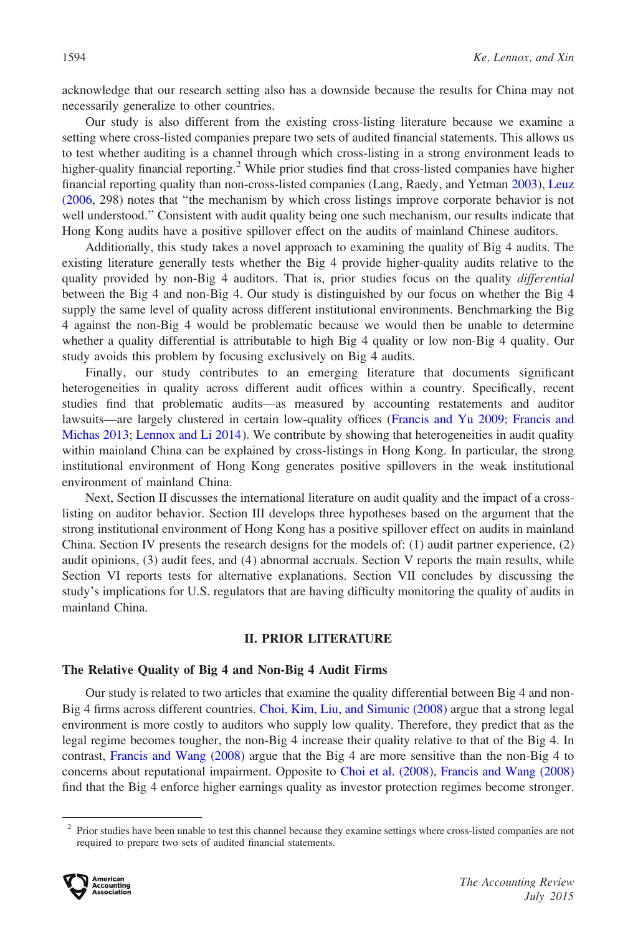acknowledge that our research setting also has a downside because the results for China may not necessarily generalize to other countries.

Our study is also different from the existing cross-listing literature because we examine a setting where cross-listed companies prepare two sets of audited financial statements. This allows us to test whether auditing is a channel through which cross-listing in a strong environment leads to higher-quality financial reporting.<sup>2</sup> While prior studies find that cross-listed companies have higher financial reporting quality than non-cross-listed companies (Lang, Raedy, and Yetman [2003](#page-28-0)), [Leuz](#page-28-0) [\(2006](#page-28-0), 298) notes that ''the mechanism by which cross listings improve corporate behavior is not well understood.'' Consistent with audit quality being one such mechanism, our results indicate that Hong Kong audits have a positive spillover effect on the audits of mainland Chinese auditors.

Additionally, this study takes a novel approach to examining the quality of Big 4 audits. The existing literature generally tests whether the Big 4 provide higher-quality audits relative to the quality provided by non-Big 4 auditors. That is, prior studies focus on the quality *differential* between the Big 4 and non-Big 4. Our study is distinguished by our focus on whether the Big 4 supply the same level of quality across different institutional environments. Benchmarking the Big 4 against the non-Big 4 would be problematic because we would then be unable to determine whether a quality differential is attributable to high Big 4 quality or low non-Big 4 quality. Our study avoids this problem by focusing exclusively on Big 4 audits.

Finally, our study contributes to an emerging literature that documents significant heterogeneities in quality across different audit offices within a country. Specifically, recent studies find that problematic audits—as measured by accounting restatements and auditor lawsuits—are largely clustered in certain low-quality offices [\(Francis and Yu 2009;](#page-27-0) [Francis and](#page-27-0) [Michas 2013](#page-27-0); [Lennox and Li 2014](#page-28-0)). We contribute by showing that heterogeneities in audit quality within mainland China can be explained by cross-listings in Hong Kong. In particular, the strong institutional environment of Hong Kong generates positive spillovers in the weak institutional environment of mainland China.

Next, Section II discusses the international literature on audit quality and the impact of a crosslisting on auditor behavior. Section III develops three hypotheses based on the argument that the strong institutional environment of Hong Kong has a positive spillover effect on audits in mainland China. Section IV presents the research designs for the models of: (1) audit partner experience, (2) audit opinions, (3) audit fees, and (4) abnormal accruals. Section V reports the main results, while Section VI reports tests for alternative explanations. Section VII concludes by discussing the study's implications for U.S. regulators that are having difficulty monitoring the quality of audits in mainland China.

#### II. PRIOR LITERATURE

## The Relative Quality of Big 4 and Non-Big 4 Audit Firms

Our study is related to two articles that examine the quality differential between Big 4 and non-Big 4 firms across different countries. [Choi, Kim, Liu, and Simunic \(2008\)](#page-27-0) argue that a strong legal environment is more costly to auditors who supply low quality. Therefore, they predict that as the legal regime becomes tougher, the non-Big 4 increase their quality relative to that of the Big 4. In contrast, [Francis and Wang \(2008\)](#page-27-0) argue that the Big 4 are more sensitive than the non-Big 4 to concerns about reputational impairment. Opposite to [Choi et al. \(2008\),](#page-27-0) [Francis and Wang \(2008\)](#page-27-0) find that the Big 4 enforce higher earnings quality as investor protection regimes become stronger.

<sup>&</sup>lt;sup>2</sup> Prior studies have been unable to test this channel because they examine settings where cross-listed companies are not required to prepare two sets of audited financial statements.

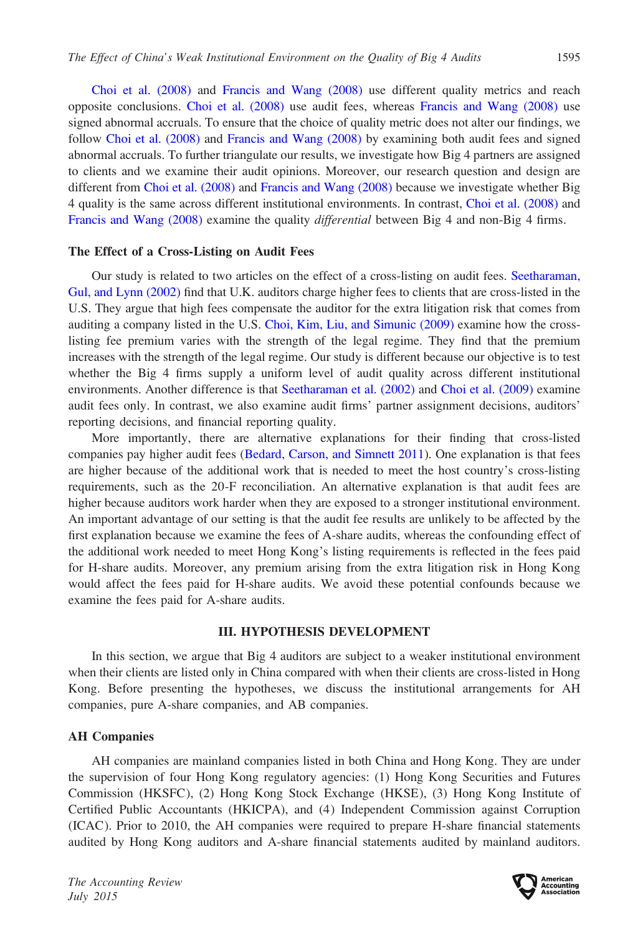[Choi et al. \(2008\)](#page-27-0) and [Francis and Wang \(2008\)](#page-27-0) use different quality metrics and reach opposite conclusions. [Choi et al. \(2008\)](#page-27-0) use audit fees, whereas [Francis and Wang \(2008\)](#page-27-0) use signed abnormal accruals. To ensure that the choice of quality metric does not alter our findings, we follow [Choi et al. \(2008\)](#page-27-0) and [Francis and Wang \(2008\)](#page-27-0) by examining both audit fees and signed abnormal accruals. To further triangulate our results, we investigate how Big 4 partners are assigned to clients and we examine their audit opinions. Moreover, our research question and design are different from [Choi et al. \(2008\)](#page-27-0) and [Francis and Wang \(2008\)](#page-27-0) because we investigate whether Big 4 quality is the same across different institutional environments. In contrast, [Choi et al. \(2008\)](#page-27-0) and [Francis and Wang \(2008\)](#page-27-0) examine the quality differential between Big 4 and non-Big 4 firms.

#### The Effect of a Cross-Listing on Audit Fees

Our study is related to two articles on the effect of a cross-listing on audit fees. [Seetharaman,](#page-28-0) [Gul, and Lynn \(2002\)](#page-28-0) find that U.K. auditors charge higher fees to clients that are cross-listed in the U.S. They argue that high fees compensate the auditor for the extra litigation risk that comes from auditing a company listed in the U.S. [Choi, Kim, Liu, and Simunic \(2009\)](#page-27-0) examine how the crosslisting fee premium varies with the strength of the legal regime. They find that the premium increases with the strength of the legal regime. Our study is different because our objective is to test whether the Big 4 firms supply a uniform level of audit quality across different institutional environments. Another difference is that [Seetharaman et al. \(2002\)](#page-28-0) and [Choi et al. \(2009\)](#page-27-0) examine audit fees only. In contrast, we also examine audit firms' partner assignment decisions, auditors' reporting decisions, and financial reporting quality.

More importantly, there are alternative explanations for their finding that cross-listed companies pay higher audit fees [\(Bedard, Carson, and Simnett 2011\)](#page-27-0). One explanation is that fees are higher because of the additional work that is needed to meet the host country's cross-listing requirements, such as the 20-F reconciliation. An alternative explanation is that audit fees are higher because auditors work harder when they are exposed to a stronger institutional environment. An important advantage of our setting is that the audit fee results are unlikely to be affected by the first explanation because we examine the fees of A-share audits, whereas the confounding effect of the additional work needed to meet Hong Kong's listing requirements is reflected in the fees paid for H-share audits. Moreover, any premium arising from the extra litigation risk in Hong Kong would affect the fees paid for H-share audits. We avoid these potential confounds because we examine the fees paid for A-share audits.

#### III. HYPOTHESIS DEVELOPMENT

In this section, we argue that Big 4 auditors are subject to a weaker institutional environment when their clients are listed only in China compared with when their clients are cross-listed in Hong Kong. Before presenting the hypotheses, we discuss the institutional arrangements for AH companies, pure A-share companies, and AB companies.

#### AH Companies

AH companies are mainland companies listed in both China and Hong Kong. They are under the supervision of four Hong Kong regulatory agencies: (1) Hong Kong Securities and Futures Commission (HKSFC), (2) Hong Kong Stock Exchange (HKSE), (3) Hong Kong Institute of Certified Public Accountants (HKICPA), and (4) Independent Commission against Corruption (ICAC). Prior to 2010, the AH companies were required to prepare H-share financial statements audited by Hong Kong auditors and A-share financial statements audited by mainland auditors.

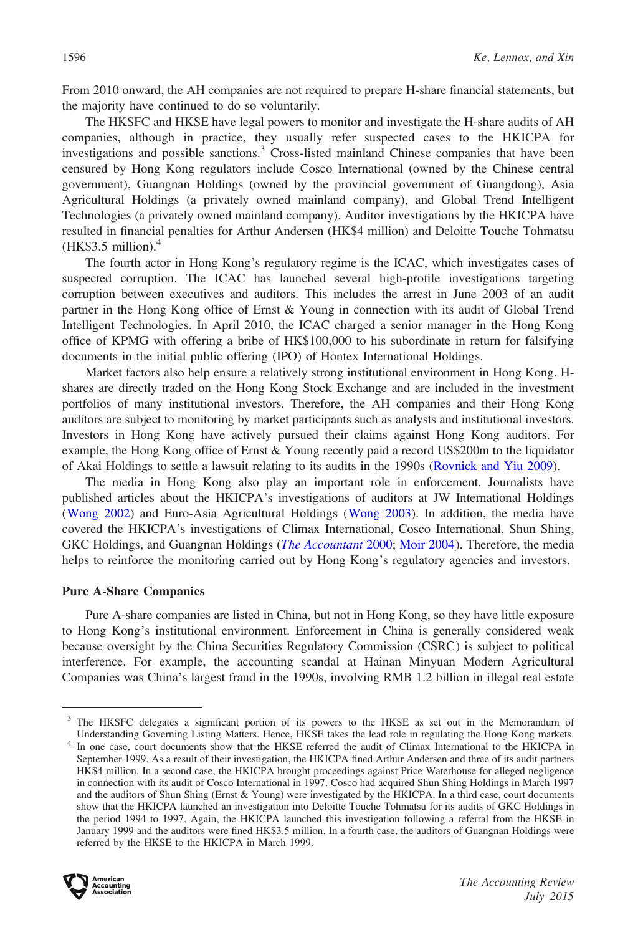From 2010 onward, the AH companies are not required to prepare H-share financial statements, but the majority have continued to do so voluntarily.

The HKSFC and HKSE have legal powers to monitor and investigate the H-share audits of AH companies, although in practice, they usually refer suspected cases to the HKICPA for investigations and possible sanctions.<sup>3</sup> Cross-listed mainland Chinese companies that have been censured by Hong Kong regulators include Cosco International (owned by the Chinese central government), Guangnan Holdings (owned by the provincial government of Guangdong), Asia Agricultural Holdings (a privately owned mainland company), and Global Trend Intelligent Technologies (a privately owned mainland company). Auditor investigations by the HKICPA have resulted in financial penalties for Arthur Andersen (HK\$4 million) and Deloitte Touche Tohmatsu  $(HK$3.5 million).<sup>4</sup>$ 

The fourth actor in Hong Kong's regulatory regime is the ICAC, which investigates cases of suspected corruption. The ICAC has launched several high-profile investigations targeting corruption between executives and auditors. This includes the arrest in June 2003 of an audit partner in the Hong Kong office of Ernst & Young in connection with its audit of Global Trend Intelligent Technologies. In April 2010, the ICAC charged a senior manager in the Hong Kong office of KPMG with offering a bribe of HK\$100,000 to his subordinate in return for falsifying documents in the initial public offering (IPO) of Hontex International Holdings.

Market factors also help ensure a relatively strong institutional environment in Hong Kong. Hshares are directly traded on the Hong Kong Stock Exchange and are included in the investment portfolios of many institutional investors. Therefore, the AH companies and their Hong Kong auditors are subject to monitoring by market participants such as analysts and institutional investors. Investors in Hong Kong have actively pursued their claims against Hong Kong auditors. For example, the Hong Kong office of Ernst & Young recently paid a record US\$200m to the liquidator of Akai Holdings to settle a lawsuit relating to its audits in the 1990s ([Rovnick and Yiu 2009\)](#page-28-0).

The media in Hong Kong also play an important role in enforcement. Journalists have published articles about the HKICPA's investigations of auditors at JW International Holdings [\(Wong 2002](#page-28-0)) and Euro-Asia Agricultural Holdings ([Wong 2003\)](#page-28-0). In addition, the media have covered the HKICPA's investigations of Climax International, Cosco International, Shun Shing, GKC Holdings, and Guangnan Holdings (*[The Accountant](#page-28-0)* 2000; [Moir 2004](#page-28-0)). Therefore, the media helps to reinforce the monitoring carried out by Hong Kong's regulatory agencies and investors.

## Pure A-Share Companies

Pure A-share companies are listed in China, but not in Hong Kong, so they have little exposure to Hong Kong's institutional environment. Enforcement in China is generally considered weak because oversight by the China Securities Regulatory Commission (CSRC) is subject to political interference. For example, the accounting scandal at Hainan Minyuan Modern Agricultural Companies was China's largest fraud in the 1990s, involving RMB 1.2 billion in illegal real estate

<sup>&</sup>lt;sup>4</sup> In one case, court documents show that the HKSE referred the audit of Climax International to the HKICPA in September 1999. As a result of their investigation, the HKICPA fined Arthur Andersen and three of its audit partners HK\$4 million. In a second case, the HKICPA brought proceedings against Price Waterhouse for alleged negligence in connection with its audit of Cosco International in 1997. Cosco had acquired Shun Shing Holdings in March 1997 and the auditors of Shun Shing (Ernst & Young) were investigated by the HKICPA. In a third case, court documents show that the HKICPA launched an investigation into Deloitte Touche Tohmatsu for its audits of GKC Holdings in the period 1994 to 1997. Again, the HKICPA launched this investigation following a referral from the HKSE in January 1999 and the auditors were fined HK\$3.5 million. In a fourth case, the auditors of Guangnan Holdings were referred by the HKSE to the HKICPA in March 1999.



<sup>&</sup>lt;sup>3</sup> The HKSFC delegates a significant portion of its powers to the HKSE as set out in the Memorandum of Understanding Governing Listing Matters. Hence, HKSE takes the lead role in regulating the Hong Kong markets.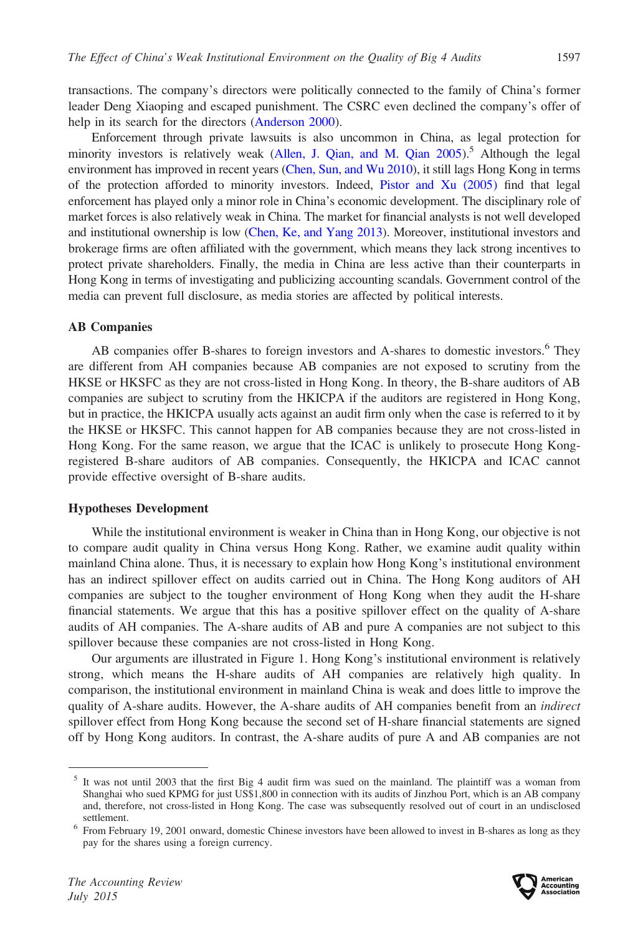transactions. The company's directors were politically connected to the family of China's former leader Deng Xiaoping and escaped punishment. The CSRC even declined the company's offer of help in its search for the directors [\(Anderson 2000](#page-26-0)).

Enforcement through private lawsuits is also uncommon in China, as legal protection for minority investors is relatively weak (Allen, J. Qian, and M. Qian  $2005$ ).<sup>5</sup> Although the legal environment has improved in recent years [\(Chen, Sun, and Wu 2010\)](#page-27-0), it still lags Hong Kong in terms of the protection afforded to minority investors. Indeed, [Pistor and Xu \(2005\)](#page-28-0) find that legal enforcement has played only a minor role in China's economic development. The disciplinary role of market forces is also relatively weak in China. The market for financial analysts is not well developed and institutional ownership is low ([Chen, Ke, and Yang 2013\)](#page-27-0). Moreover, institutional investors and brokerage firms are often affiliated with the government, which means they lack strong incentives to protect private shareholders. Finally, the media in China are less active than their counterparts in Hong Kong in terms of investigating and publicizing accounting scandals. Government control of the media can prevent full disclosure, as media stories are affected by political interests.

#### AB Companies

AB companies offer B-shares to foreign investors and A-shares to domestic investors.<sup>6</sup> They are different from AH companies because AB companies are not exposed to scrutiny from the HKSE or HKSFC as they are not cross-listed in Hong Kong. In theory, the B-share auditors of AB companies are subject to scrutiny from the HKICPA if the auditors are registered in Hong Kong, but in practice, the HKICPA usually acts against an audit firm only when the case is referred to it by the HKSE or HKSFC. This cannot happen for AB companies because they are not cross-listed in Hong Kong. For the same reason, we argue that the ICAC is unlikely to prosecute Hong Kongregistered B-share auditors of AB companies. Consequently, the HKICPA and ICAC cannot provide effective oversight of B-share audits.

#### Hypotheses Development

While the institutional environment is weaker in China than in Hong Kong, our objective is not to compare audit quality in China versus Hong Kong. Rather, we examine audit quality within mainland China alone. Thus, it is necessary to explain how Hong Kong's institutional environment has an indirect spillover effect on audits carried out in China. The Hong Kong auditors of AH companies are subject to the tougher environment of Hong Kong when they audit the H-share financial statements. We argue that this has a positive spillover effect on the quality of A-share audits of AH companies. The A-share audits of AB and pure A companies are not subject to this spillover because these companies are not cross-listed in Hong Kong.

Our arguments are illustrated in Figure 1. Hong Kong's institutional environment is relatively strong, which means the H-share audits of AH companies are relatively high quality. In comparison, the institutional environment in mainland China is weak and does little to improve the quality of A-share audits. However, the A-share audits of AH companies benefit from an *indirect* spillover effect from Hong Kong because the second set of H-share financial statements are signed off by Hong Kong auditors. In contrast, the A-share audits of pure A and AB companies are not

 $<sup>5</sup>$  It was not until 2003 that the first Big 4 audit firm was sued on the mainland. The plaintiff was a woman from</sup> Shanghai who sued KPMG for just US\$1,800 in connection with its audits of Jinzhou Port, which is an AB company and, therefore, not cross-listed in Hong Kong. The case was subsequently resolved out of court in an undisclosed

settlement.<br><sup>6</sup> From February 19, 2001 onward, domestic Chinese investors have been allowed to invest in B-shares as long as they pay for the shares using a foreign currency.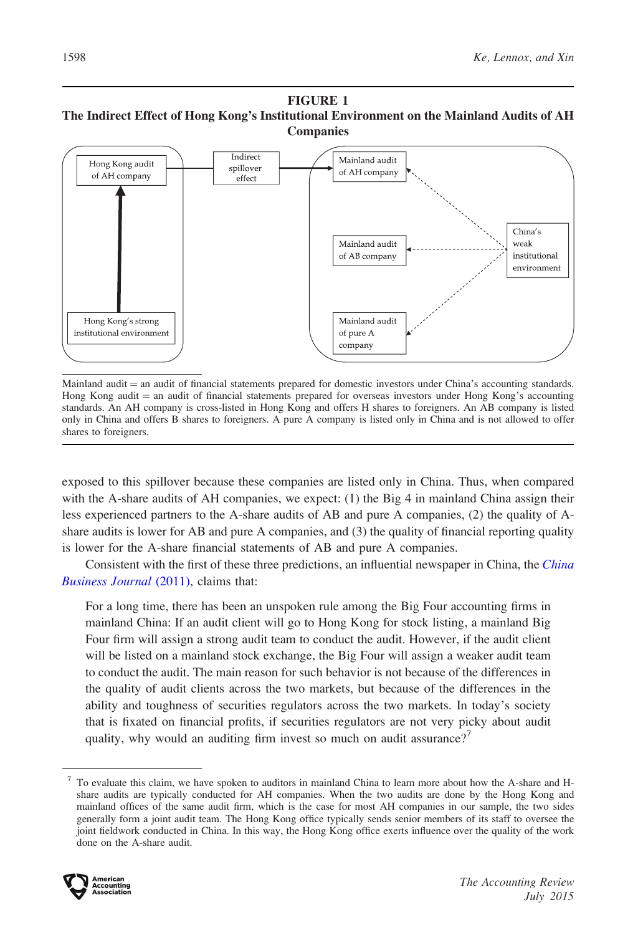#### FIGURE 1 The Indirect Effect of Hong Kong's Institutional Environment on the Mainland Audits of AH Companies



Mainland audit = an audit of financial statements prepared for domestic investors under China's accounting standards. Hong Kong audit = an audit of financial statements prepared for overseas investors under Hong Kong's accounting standards. An AH company is cross-listed in Hong Kong and offers H shares to foreigners. An AB company is listed only in China and offers B shares to foreigners. A pure A company is listed only in China and is not allowed to offer shares to foreigners.

exposed to this spillover because these companies are listed only in China. Thus, when compared with the A-share audits of AH companies, we expect: (1) the Big 4 in mainland China assign their less experienced partners to the A-share audits of AB and pure A companies, (2) the quality of Ashare audits is lower for AB and pure A companies, and (3) the quality of financial reporting quality is lower for the A-share financial statements of AB and pure A companies.

Consistent with the first of these three predictions, an influential newspaper in [China](#page-27-0), the *China* [Business Journal](#page-27-0) (2011), claims that:

For a long time, there has been an unspoken rule among the Big Four accounting firms in mainland China: If an audit client will go to Hong Kong for stock listing, a mainland Big Four firm will assign a strong audit team to conduct the audit. However, if the audit client will be listed on a mainland stock exchange, the Big Four will assign a weaker audit team to conduct the audit. The main reason for such behavior is not because of the differences in the quality of audit clients across the two markets, but because of the differences in the ability and toughness of securities regulators across the two markets. In today's society that is fixated on financial profits, if securities regulators are not very picky about audit quality, why would an auditing firm invest so much on audit assurance?<sup>7</sup>

<sup>&</sup>lt;sup>7</sup> To evaluate this claim, we have spoken to auditors in mainland China to learn more about how the A-share and Hshare audits are typically conducted for AH companies. When the two audits are done by the Hong Kong and mainland offices of the same audit firm, which is the case for most AH companies in our sample, the two sides generally form a joint audit team. The Hong Kong office typically sends senior members of its staff to oversee the joint fieldwork conducted in China. In this way, the Hong Kong office exerts influence over the quality of the work done on the A-share audit.

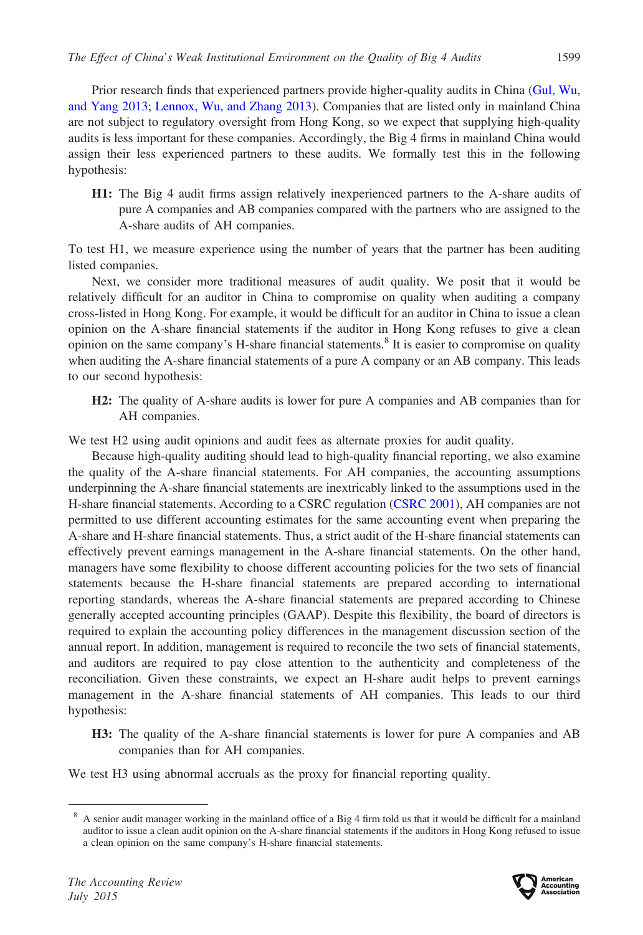Prior research finds that experienced partners provide higher-quality audits in China [\(Gul, Wu,](#page-28-0) [and Yang 2013](#page-28-0); [Lennox, Wu, and Zhang 2013](#page-28-0)). Companies that are listed only in mainland China are not subject to regulatory oversight from Hong Kong, so we expect that supplying high-quality audits is less important for these companies. Accordingly, the Big 4 firms in mainland China would assign their less experienced partners to these audits. We formally test this in the following hypothesis:

H1: The Big 4 audit firms assign relatively inexperienced partners to the A-share audits of pure A companies and AB companies compared with the partners who are assigned to the A-share audits of AH companies.

To test H1, we measure experience using the number of years that the partner has been auditing listed companies.

Next, we consider more traditional measures of audit quality. We posit that it would be relatively difficult for an auditor in China to compromise on quality when auditing a company cross-listed in Hong Kong. For example, it would be difficult for an auditor in China to issue a clean opinion on the A-share financial statements if the auditor in Hong Kong refuses to give a clean opinion on the same company's H-share financial statements.<sup>8</sup> It is easier to compromise on quality when auditing the A-share financial statements of a pure A company or an AB company. This leads to our second hypothesis:

H2: The quality of A-share audits is lower for pure A companies and AB companies than for AH companies.

We test H2 using audit opinions and audit fees as alternate proxies for audit quality.

Because high-quality auditing should lead to high-quality financial reporting, we also examine the quality of the A-share financial statements. For AH companies, the accounting assumptions underpinning the A-share financial statements are inextricably linked to the assumptions used in the H-share financial statements. According to a CSRC regulation [\(CSRC 2001\)](#page-27-0), AH companies are not permitted to use different accounting estimates for the same accounting event when preparing the A-share and H-share financial statements. Thus, a strict audit of the H-share financial statements can effectively prevent earnings management in the A-share financial statements. On the other hand, managers have some flexibility to choose different accounting policies for the two sets of financial statements because the H-share financial statements are prepared according to international reporting standards, whereas the A-share financial statements are prepared according to Chinese generally accepted accounting principles (GAAP). Despite this flexibility, the board of directors is required to explain the accounting policy differences in the management discussion section of the annual report. In addition, management is required to reconcile the two sets of financial statements, and auditors are required to pay close attention to the authenticity and completeness of the reconciliation. Given these constraints, we expect an H-share audit helps to prevent earnings management in the A-share financial statements of AH companies. This leads to our third hypothesis:

H3: The quality of the A-share financial statements is lower for pure A companies and AB companies than for AH companies.

We test H3 using abnormal accruals as the proxy for financial reporting quality.



<sup>&</sup>lt;sup>8</sup> A senior audit manager working in the mainland office of a Big 4 firm told us that it would be difficult for a mainland auditor to issue a clean audit opinion on the A-share financial statements if the auditors in Hong Kong refused to issue a clean opinion on the same company's H-share financial statements.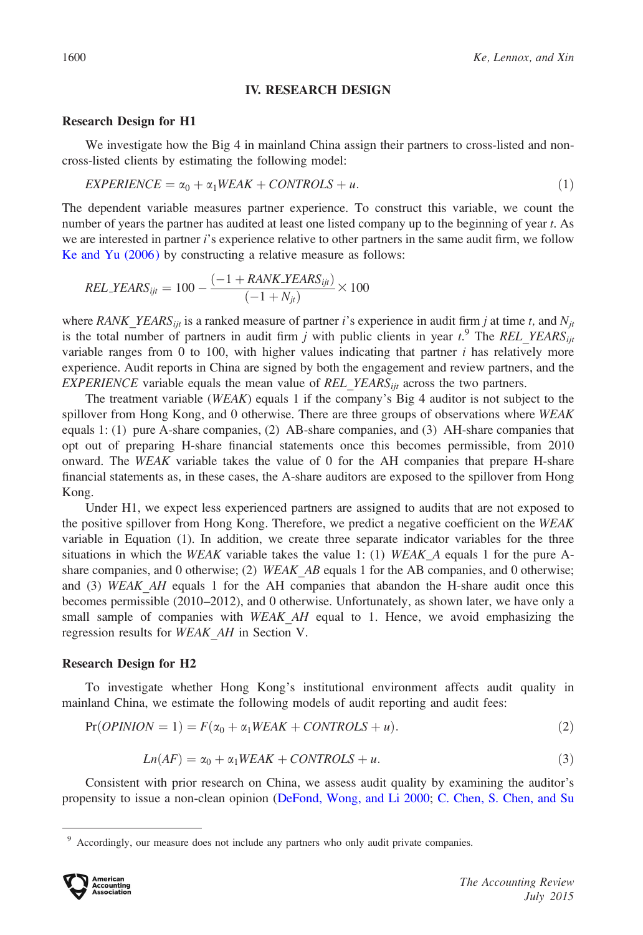#### IV. RESEARCH DESIGN

#### Research Design for H1

We investigate how the Big 4 in mainland China assign their partners to cross-listed and noncross-listed clients by estimating the following model:

$$
EXPERIENCE = \alpha_0 + \alpha_1 WEAK + CONTROLS + u. \tag{1}
$$

The dependent variable measures partner experience. To construct this variable, we count the number of years the partner has audited at least one listed company up to the beginning of year t. As we are interested in partner i's experience relative to other partners in the same audit firm, we follow [Ke and Yu \(2006\)](#page-28-0) by constructing a relative measure as follows:

$$
REL_YEARS_{ijt} = 100 - \frac{(-1 + RANK_YEARS_{ijt})}{(-1 + N_{jt})} \times 100
$$

where RANK YEARS<sub>ijt</sub> is a ranked measure of partner i's experience in audit firm j at time t, and N<sub>jt</sub> is the total number of partners in audit firm j with public clients in year  $t$ .<sup>9</sup> The REL\_YEARS<sub>ijt</sub> variable ranges from 0 to 100, with higher values indicating that partner  $i$  has relatively more experience. Audit reports in China are signed by both the engagement and review partners, and the EXPERIENCE variable equals the mean value of REL\_YEARS $_{ii}$  across the two partners.

The treatment variable (WEAK) equals 1 if the company's Big 4 auditor is not subject to the spillover from Hong Kong, and 0 otherwise. There are three groups of observations where WEAK equals 1: (1) pure A-share companies, (2) AB-share companies, and (3) AH-share companies that opt out of preparing H-share financial statements once this becomes permissible, from 2010 onward. The  $WEAK$  variable takes the value of 0 for the AH companies that prepare H-share financial statements as, in these cases, the A-share auditors are exposed to the spillover from Hong Kong.

Under H1, we expect less experienced partners are assigned to audits that are not exposed to the positive spillover from Hong Kong. Therefore, we predict a negative coefficient on the WEAK variable in Equation (1). In addition, we create three separate indicator variables for the three situations in which the WEAK variable takes the value 1: (1) WEAK\_A equals 1 for the pure Ashare companies, and 0 otherwise; (2) WEAK AB equals 1 for the AB companies, and 0 otherwise; and (3) WEAK AH equals 1 for the AH companies that abandon the H-share audit once this becomes permissible (2010–2012), and 0 otherwise. Unfortunately, as shown later, we have only a small sample of companies with WEAK AH equal to 1. Hence, we avoid emphasizing the regression results for WEAK\_AH in Section V.

#### Research Design for H2

To investigate whether Hong Kong's institutional environment affects audit quality in mainland China, we estimate the following models of audit reporting and audit fees:

$$
Pr(OPINION = 1) = F(\alpha_0 + \alpha_1 WEAK + CONTROLS + u).
$$
\n(2)

$$
Ln(AF) = \alpha_0 + \alpha_1 W EAK + CONTROLS + u.
$$
\n(3)

Consistent with prior research on China, we assess audit quality by examining the auditor's propensity to issue a non-clean opinion ([DeFond, Wong, and Li 2000](#page-27-0); [C. Chen, S. Chen, and Su](#page-27-0)

Accordingly, our measure does not include any partners who only audit private companies.

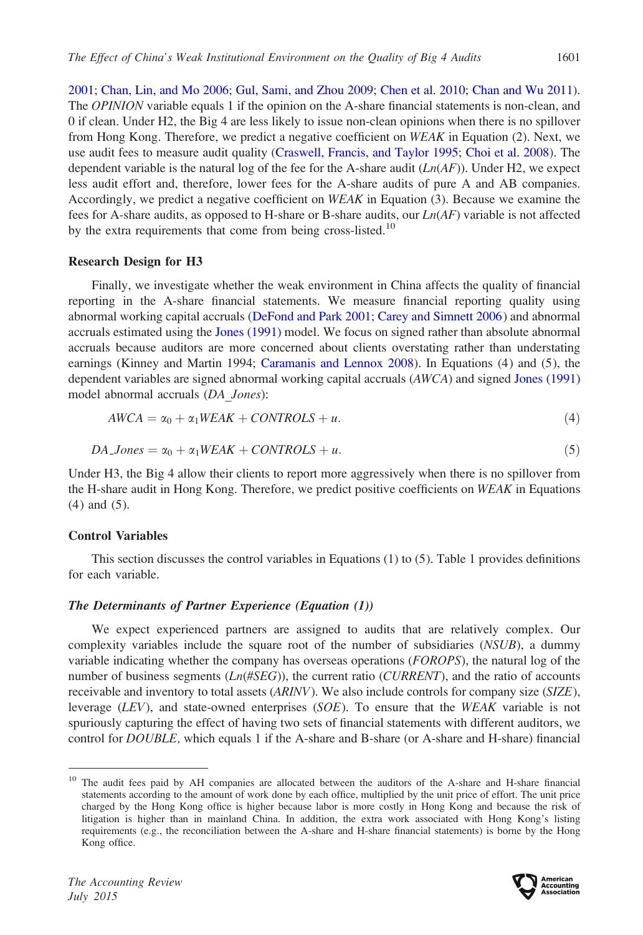[2001;](#page-27-0) [Chan, Lin, and Mo 2006](#page-27-0); [Gul, Sami, and Zhou 2009;](#page-27-0) [Chen et al. 2010;](#page-27-0) [Chan and Wu 2011](#page-27-0)). The *OPINION* variable equals 1 if the opinion on the A-share financial statements is non-clean, and 0 if clean. Under H2, the Big 4 are less likely to issue non-clean opinions when there is no spillover from Hong Kong. Therefore, we predict a negative coefficient on WEAK in Equation (2). Next, we use audit fees to measure audit quality [\(Craswell, Francis, and Taylor 1995](#page-27-0); [Choi et al. 2008](#page-27-0)). The dependent variable is the natural log of the fee for the A-share audit  $(Ln(AF))$ . Under H2, we expect less audit effort and, therefore, lower fees for the A-share audits of pure A and AB companies. Accordingly, we predict a negative coefficient on WEAK in Equation (3). Because we examine the fees for A-share audits, as opposed to H-share or B-share audits, our  $Ln(AF)$  variable is not affected by the extra requirements that come from being cross-listed.<sup>10</sup>

#### Research Design for H3

Finally, we investigate whether the weak environment in China affects the quality of financial reporting in the A-share financial statements. We measure financial reporting quality using abnormal working capital accruals [\(DeFond and Park 2001](#page-27-0); [Carey and Simnett 2006](#page-27-0)) and abnormal accruals estimated using the [Jones \(1991\)](#page-28-0) model. We focus on signed rather than absolute abnormal accruals because auditors are more concerned about clients overstating rather than understating earnings (Kinney and Martin 1994; [Caramanis and Lennox 2008\)](#page-27-0). In Equations (4) and (5), the dependent variables are signed abnormal working capital accruals (AWCA) and signed [Jones \(1991\)](#page-28-0) model abnormal accruals (DA\_Jones):

$$
AWCA = \alpha_0 + \alpha_1 WEAK + CONTROLS + u. \tag{4}
$$

$$
DA\_{Jones} = \alpha_0 + \alpha_1 WEAK + CONTROLS + u. \tag{5}
$$

Under H3, the Big 4 allow their clients to report more aggressively when there is no spillover from the H-share audit in Hong Kong. Therefore, we predict positive coefficients on WEAK in Equations (4) and (5).

#### Control Variables

This section discusses the control variables in Equations  $(1)$  to  $(5)$ . Table 1 provides definitions for each variable.

## The Determinants of Partner Experience (Equation (1))

We expect experienced partners are assigned to audits that are relatively complex. Our complexity variables include the square root of the number of subsidiaries (NSUB), a dummy variable indicating whether the company has overseas operations (FOROPS), the natural log of the number of business segments  $(Ln(\#SEG))$ , the current ratio (*CURRENT*), and the ratio of accounts receivable and inventory to total assets (ARINV). We also include controls for company size (SIZE), leverage (LEV), and state-owned enterprises ( $SOE$ ). To ensure that the WEAK variable is not spuriously capturing the effect of having two sets of financial statements with different auditors, we control for DOUBLE, which equals 1 if the A-share and B-share (or A-share and H-share) financial

<sup>&</sup>lt;sup>10</sup> The audit fees paid by AH companies are allocated between the auditors of the A-share and H-share financial statements according to the amount of work done by each office, multiplied by the unit price of effort. The unit price charged by the Hong Kong office is higher because labor is more costly in Hong Kong and because the risk of litigation is higher than in mainland China. In addition, the extra work associated with Hong Kong's listing requirements (e.g., the reconciliation between the A-share and H-share financial statements) is borne by the Hong Kong office.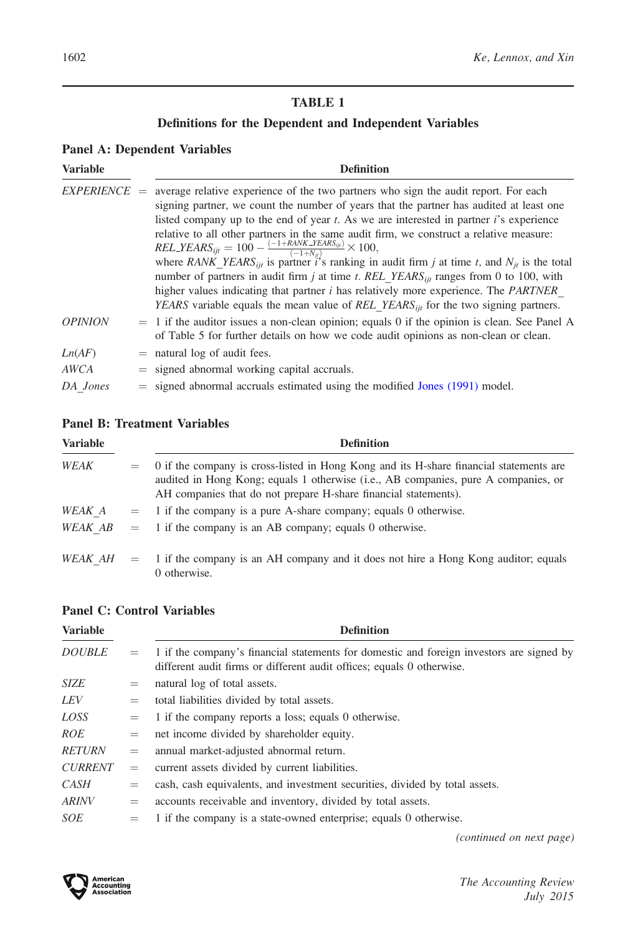# Definitions for the Dependent and Independent Variables

# Panel A: Dependent Variables

| <b>Variable</b> | <b>Definition</b>                                                                                                                                                                                                                                                                                                                                                                                                                                                                                                                                                                                                                                                                                                                                                                                                                                                                                          |
|-----------------|------------------------------------------------------------------------------------------------------------------------------------------------------------------------------------------------------------------------------------------------------------------------------------------------------------------------------------------------------------------------------------------------------------------------------------------------------------------------------------------------------------------------------------------------------------------------------------------------------------------------------------------------------------------------------------------------------------------------------------------------------------------------------------------------------------------------------------------------------------------------------------------------------------|
| $EXPERIENCE =$  | average relative experience of the two partners who sign the audit report. For each<br>signing partner, we count the number of years that the partner has audited at least one<br>listed company up to the end of year $t$ . As we are interested in partner $i$ 's experience<br>relative to all other partners in the same audit firm, we construct a relative measure:<br>$REL\_YEARS_{ijt} = 100 - \frac{(-1 + RANK\_YEARS_{ijt})}{(-1 + N_{cs})} \times 100,$<br>where RANK YEARS <sub>iit</sub> is partner is ranking in audit firm j at time t, and $N_{it}$ is the total<br>number of partners in audit firm j at time t. REL YEARS <sub>iit</sub> ranges from 0 to 100, with<br>higher values indicating that partner <i>i</i> has relatively more experience. The <i>PARTNER</i><br><i>YEARS</i> variable equals the mean value of <i>REL YEARS</i> <sub>iit</sub> for the two signing partners. |
| <b>OPINION</b>  | $=$ 1 if the auditor issues a non-clean opinion; equals 0 if the opinion is clean. See Panel A<br>of Table 5 for further details on how we code audit opinions as non-clean or clean.                                                                                                                                                                                                                                                                                                                                                                                                                                                                                                                                                                                                                                                                                                                      |
| Ln(AF)          | $=$ natural log of audit fees.                                                                                                                                                                                                                                                                                                                                                                                                                                                                                                                                                                                                                                                                                                                                                                                                                                                                             |
| <b>AWCA</b>     | $=$ signed abnormal working capital accruals.                                                                                                                                                                                                                                                                                                                                                                                                                                                                                                                                                                                                                                                                                                                                                                                                                                                              |
| DA Jones        | $=$ signed abnormal accruals estimated using the modified Jones (1991) model.                                                                                                                                                                                                                                                                                                                                                                                                                                                                                                                                                                                                                                                                                                                                                                                                                              |

## Panel B: Treatment Variables

| <b>Variable</b> |     | <b>Definition</b>                                                                                                                                                                                                                               |
|-----------------|-----|-------------------------------------------------------------------------------------------------------------------------------------------------------------------------------------------------------------------------------------------------|
| WEAK            | $=$ | 0 if the company is cross-listed in Hong Kong and its H-share financial statements are<br>audited in Hong Kong; equals 1 otherwise (i.e., AB companies, pure A companies, or<br>AH companies that do not prepare H-share financial statements). |
| WEAK A          |     | $=$ 1 if the company is a pure A-share company; equals 0 otherwise.                                                                                                                                                                             |
| WEAK AB         |     | $=$ 1 if the company is an AB company; equals 0 otherwise.                                                                                                                                                                                      |
| $WEAKAH =$      |     | 1 if the company is an AH company and it does not hire a Hong Kong auditor; equals<br>0 otherwise.                                                                                                                                              |

## Panel C: Control Variables

| <b>Variable</b> |     | <b>Definition</b>                                                                                                                                                 |
|-----------------|-----|-------------------------------------------------------------------------------------------------------------------------------------------------------------------|
| <b>DOUBLE</b>   | $=$ | 1 if the company's financial statements for domestic and foreign investors are signed by<br>different audit firms or different audit offices; equals 0 otherwise. |
| <b>SIZE</b>     | $=$ | natural log of total assets.                                                                                                                                      |
| LEV             | $=$ | total liabilities divided by total assets.                                                                                                                        |
| LOSS            | $=$ | 1 if the company reports a loss; equals 0 otherwise.                                                                                                              |
| <i>ROE</i>      | $=$ | net income divided by shareholder equity.                                                                                                                         |
| <b>RETURN</b>   | $=$ | annual market-adjusted abnormal return.                                                                                                                           |
| <b>CURRENT</b>  | $=$ | current assets divided by current liabilities.                                                                                                                    |
| CASH            | $=$ | cash, cash equivalents, and investment securities, divided by total assets.                                                                                       |
| <b>ARINV</b>    | $=$ | accounts receivable and inventory, divided by total assets.                                                                                                       |
| <i>SOE</i>      | $=$ | 1 if the company is a state-owned enterprise; equals 0 otherwise.                                                                                                 |

(continued on next page)

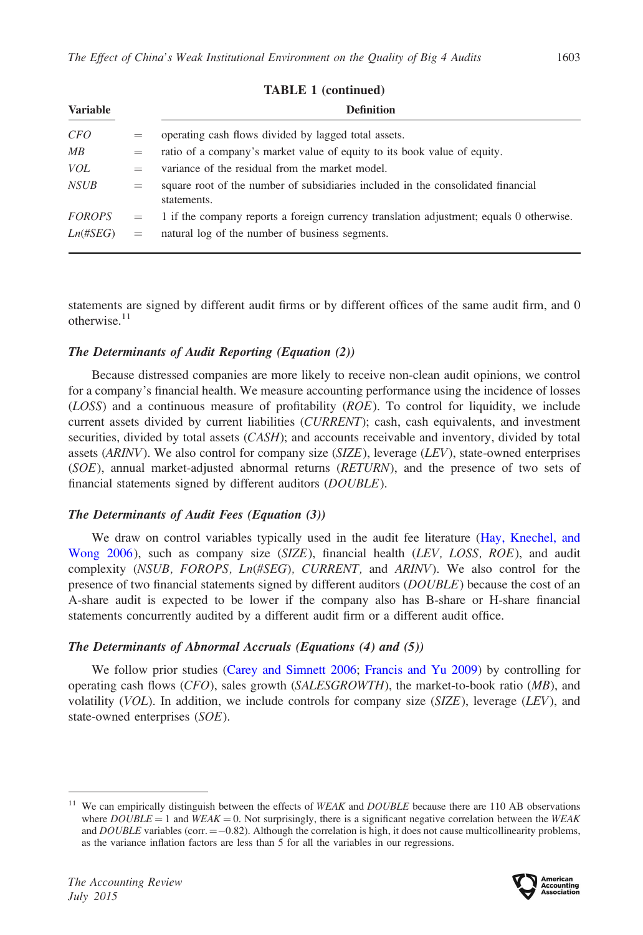| <b>Variable</b> |     | <b>Definition</b>                                                                               |
|-----------------|-----|-------------------------------------------------------------------------------------------------|
| <i>CFO</i>      | $=$ | operating cash flows divided by lagged total assets.                                            |
| MB              | $=$ | ratio of a company's market value of equity to its book value of equity.                        |
| VOL             | $=$ | variance of the residual from the market model.                                                 |
| NSUB            | $=$ | square root of the number of subsidiaries included in the consolidated financial<br>statements. |
| <i>FOROPS</i>   | $=$ | 1 if the company reports a foreign currency translation adjustment; equals 0 otherwise.         |
| $Ln(\#SEG)$     | $=$ | natural log of the number of business segments.                                                 |

#### TABLE 1 (continued)

statements are signed by different audit firms or by different offices of the same audit firm, and 0 otherwise. $11$ 

## The Determinants of Audit Reporting (Equation (2))

Because distressed companies are more likely to receive non-clean audit opinions, we control for a company's financial health. We measure accounting performance using the incidence of losses  $(LOSS)$  and a continuous measure of profitability  $(ROE)$ . To control for liquidity, we include current assets divided by current liabilities (CURRENT); cash, cash equivalents, and investment securities, divided by total assets (*CASH*); and accounts receivable and inventory, divided by total assets (ARINV). We also control for company size (SIZE), leverage (LEV), state-owned enterprises (SOE), annual market-adjusted abnormal returns (RETURN), and the presence of two sets of financial statements signed by different auditors (DOUBLE).

## The Determinants of Audit Fees (Equation (3))

We draw on control variables typically used in the audit fee literature ([Hay, Knechel, and](#page-28-0) [Wong 2006](#page-28-0)), such as company size (SIZE), financial health (LEV, LOSS, ROE), and audit complexity (NSUB, FOROPS, Ln(#SEG), CURRENT, and ARINV). We also control for the presence of two financial statements signed by different auditors (*DOUBLE*) because the cost of an A-share audit is expected to be lower if the company also has B-share or H-share financial statements concurrently audited by a different audit firm or a different audit office.

## The Determinants of Abnormal Accruals (Equations (4) and (5))

We follow prior studies ([Carey and Simnett 2006;](#page-27-0) [Francis and Yu 2009\)](#page-27-0) by controlling for operating cash flows  $(CFO)$ , sales growth  $(SALESGROWTH)$ , the market-to-book ratio  $(MB)$ , and volatility (VOL). In addition, we include controls for company size (SIZE), leverage (LEV), and state-owned enterprises (SOE).

 $11$  We can empirically distinguish between the effects of WEAK and DOUBLE because there are 110 AB observations where  $DOUBLE = 1$  and  $WEAK = 0$ . Not surprisingly, there is a significant negative correlation between the WEAK and  $DOUBLE$  variables (corr.  $=$  -0.82). Although the correlation is high, it does not cause multicollinearity problems, as the variance inflation factors are less than 5 for all the variables in our regressions.

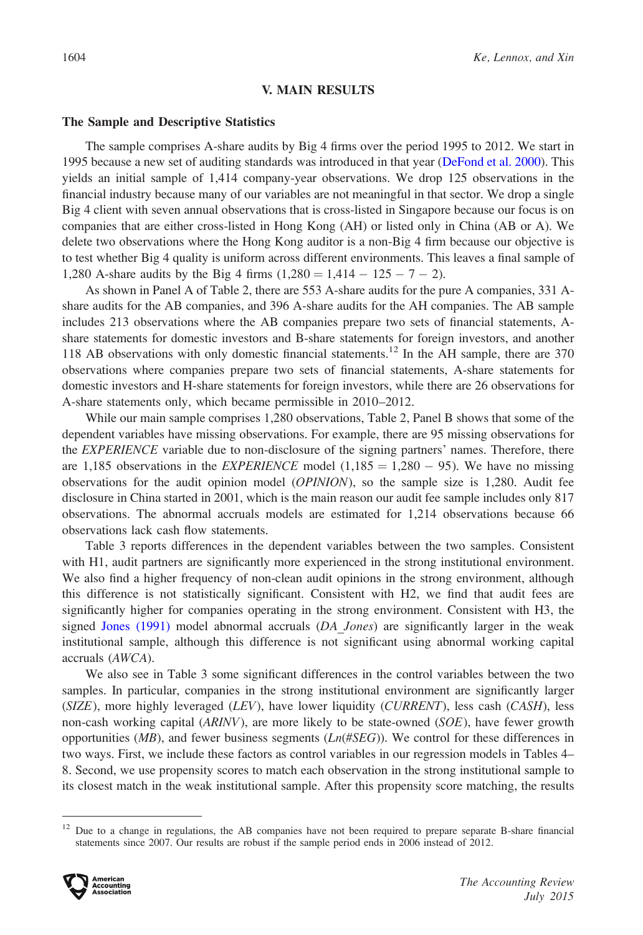#### V. MAIN RESULTS

#### The Sample and Descriptive Statistics

The sample comprises A-share audits by Big 4 firms over the period 1995 to 2012. We start in 1995 because a new set of auditing standards was introduced in that year ([DeFond et al. 2000\)](#page-27-0). This yields an initial sample of 1,414 company-year observations. We drop 125 observations in the financial industry because many of our variables are not meaningful in that sector. We drop a single Big 4 client with seven annual observations that is cross-listed in Singapore because our focus is on companies that are either cross-listed in Hong Kong (AH) or listed only in China (AB or A). We delete two observations where the Hong Kong auditor is a non-Big 4 firm because our objective is to test whether Big 4 quality is uniform across different environments. This leaves a final sample of 1,280 A-share audits by the Big 4 firms  $(1,280 = 1,414 - 125 - 7 - 2)$ .

As shown in Panel A of Table 2, there are 553 A-share audits for the pure A companies, 331 Ashare audits for the AB companies, and 396 A-share audits for the AH companies. The AB sample includes 213 observations where the AB companies prepare two sets of financial statements, Ashare statements for domestic investors and B-share statements for foreign investors, and another 118 AB observations with only domestic financial statements.<sup>12</sup> In the AH sample, there are 370 observations where companies prepare two sets of financial statements, A-share statements for domestic investors and H-share statements for foreign investors, while there are 26 observations for A-share statements only, which became permissible in 2010–2012.

While our main sample comprises 1,280 observations, Table 2, Panel B shows that some of the dependent variables have missing observations. For example, there are 95 missing observations for the *EXPERIENCE* variable due to non-disclosure of the signing partners' names. Therefore, there are 1,185 observations in the *EXPERIENCE* model  $(1,185 = 1,280 - 95)$ . We have no missing observations for the audit opinion model (OPINION), so the sample size is 1,280. Audit fee disclosure in China started in 2001, which is the main reason our audit fee sample includes only 817 observations. The abnormal accruals models are estimated for 1,214 observations because 66 observations lack cash flow statements.

Table 3 reports differences in the dependent variables between the two samples. Consistent with H1, audit partners are significantly more experienced in the strong institutional environment. We also find a higher frequency of non-clean audit opinions in the strong environment, although this difference is not statistically significant. Consistent with H2, we find that audit fees are significantly higher for companies operating in the strong environment. Consistent with H3, the signed Jones  $(1991)$  model abnormal accruals  $(DA\ Jones)$  are significantly larger in the weak institutional sample, although this difference is not significant using abnormal working capital accruals (AWCA).

We also see in Table 3 some significant differences in the control variables between the two samples. In particular, companies in the strong institutional environment are significantly larger  $(SIZE)$ , more highly leveraged  $(LEV)$ , have lower liquidity  $(CURRENT)$ , less cash  $(CASH)$ , less non-cash working capital (ARINV), are more likely to be state-owned (SOE), have fewer growth opportunities (*MB*), and fewer business segments ( $Ln(\#SEG)$ ). We control for these differences in two ways. First, we include these factors as control variables in our regression models in Tables 4– 8. Second, we use propensity scores to match each observation in the strong institutional sample to its closest match in the weak institutional sample. After this propensity score matching, the results

 $12$  Due to a change in regulations, the AB companies have not been required to prepare separate B-share financial statements since 2007. Our results are robust if the sample period ends in 2006 instead of 2012.

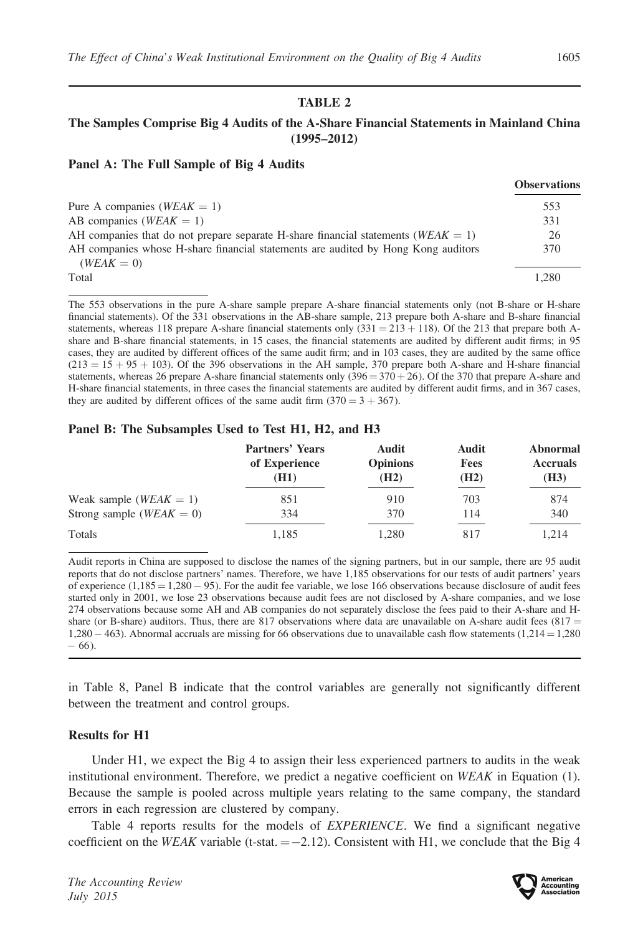## The Samples Comprise Big 4 Audits of the A-Share Financial Statements in Mainland China (1995–2012)

#### Panel A: The Full Sample of Big 4 Audits

|                                                                                                   | <b>Observations</b> |
|---------------------------------------------------------------------------------------------------|---------------------|
| Pure A companies ( $WEAK = 1$ )                                                                   | 553                 |
| AB companies ( $WEAK = 1$ )                                                                       | 331                 |
| AH companies that do not prepare separate H-share financial statements ( $WEAK = 1$ )             | -26                 |
| AH companies whose H-share financial statements are audited by Hong Kong auditors<br>$(WEAK = 0)$ | 370                 |
| Total                                                                                             | 1.280               |

The 553 observations in the pure A-share sample prepare A-share financial statements only (not B-share or H-share financial statements). Of the 331 observations in the AB-share sample, 213 prepare both A-share and B-share financial statements, whereas 118 prepare A-share financial statements only  $(331 = 213 + 118)$ . Of the 213 that prepare both Ashare and B-share financial statements, in 15 cases, the financial statements are audited by different audit firms; in 95 cases, they are audited by different offices of the same audit firm; and in 103 cases, they are audited by the same office  $(213 = 15 + 95 + 103)$ . Of the 396 observations in the AH sample, 370 prepare both A-share and H-share financial statements, whereas 26 prepare A-share financial statements only  $(396 = 370 + 26)$ . Of the 370 that prepare A-share and H-share financial statements, in three cases the financial statements are audited by different audit firms, and in 367 cases, they are audited by different offices of the same audit firm  $(370 = 3 + 367)$ .

#### Panel B: The Subsamples Used to Test H1, H2, and H3

|                              | <b>Partners' Years</b><br>of Experience<br>(H1) | Audit<br><b>Opinions</b><br>(H2) | Audit<br><b>Fees</b><br>(H2) | Abnormal<br><b>Accruals</b><br>(H3) |
|------------------------------|-------------------------------------------------|----------------------------------|------------------------------|-------------------------------------|
| Weak sample ( $WEAK = 1$ )   | 851                                             | 910                              | 703                          | 874                                 |
| Strong sample ( $WEAK = 0$ ) | 334                                             | 370                              | 114                          | 340                                 |
| Totals                       | 1.185                                           | 1.280                            | 817                          | 1.214                               |

Audit reports in China are supposed to disclose the names of the signing partners, but in our sample, there are 95 audit reports that do not disclose partners' names. Therefore, we have 1,185 observations for our tests of audit partners' years of experience  $(1,185 = 1,280 - 95)$ . For the audit fee variable, we lose 166 observations because disclosure of audit fees started only in 2001, we lose 23 observations because audit fees are not disclosed by A-share companies, and we lose 274 observations because some AH and AB companies do not separately disclose the fees paid to their A-share and Hshare (or B-share) auditors. Thus, there are 817 observations where data are unavailable on A-share audit fees  $(817 =$  $1,280 - 463$ ). Abnormal accruals are missing for 66 observations due to unavailable cash flow statements  $(1,214 = 1,280$ - 66).

in Table 8, Panel B indicate that the control variables are generally not significantly different between the treatment and control groups.

#### Results for H1

Under H1, we expect the Big 4 to assign their less experienced partners to audits in the weak institutional environment. Therefore, we predict a negative coefficient on WEAK in Equation (1). Because the sample is pooled across multiple years relating to the same company, the standard errors in each regression are clustered by company.

Table 4 reports results for the models of EXPERIENCE. We find a significant negative coefficient on the WEAK variable (t-stat.  $= -2.12$ ). Consistent with H1, we conclude that the Big 4

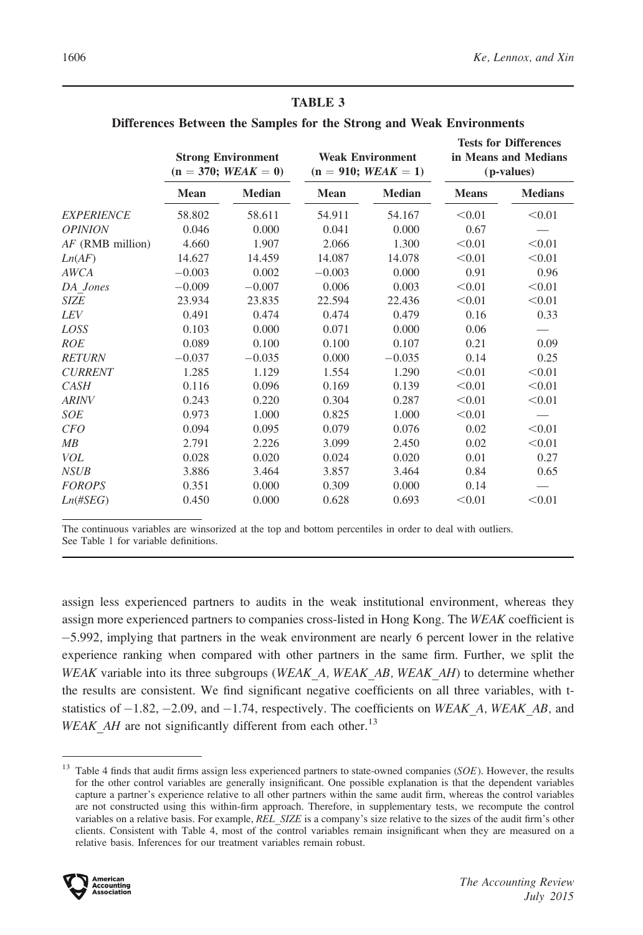|                    | <b>Strong Environment</b><br>$(n = 370; WEAK = 0)$ |               | <b>Weak Environment</b><br>$(n = 910; WEAK = 1)$ |               | <b>Tests for Differences</b><br>in Means and Medians<br>(p-values) |                |
|--------------------|----------------------------------------------------|---------------|--------------------------------------------------|---------------|--------------------------------------------------------------------|----------------|
|                    | <b>Mean</b>                                        | <b>Median</b> | Mean                                             | <b>Median</b> | <b>Means</b>                                                       | <b>Medians</b> |
| <b>EXPERIENCE</b>  | 58.802                                             | 58.611        | 54.911                                           | 54.167        | < 0.01                                                             | < 0.01         |
| <b>OPINION</b>     | 0.046                                              | 0.000         | 0.041                                            | 0.000         | 0.67                                                               |                |
| $AF$ (RMB million) | 4.660                                              | 1.907         | 2.066                                            | 1.300         | < 0.01                                                             | < 0.01         |
| Ln(AF)             | 14.627                                             | 14.459        | 14.087                                           | 14.078        | < 0.01                                                             | < 0.01         |
| AWCA               | $-0.003$                                           | 0.002         | $-0.003$                                         | 0.000         | 0.91                                                               | 0.96           |
| DA Jones           | $-0.009$                                           | $-0.007$      | 0.006                                            | 0.003         | < 0.01                                                             | < 0.01         |
| <b>SIZE</b>        | 23.934                                             | 23.835        | 22.594                                           | 22.436        | < 0.01                                                             | < 0.01         |
| <i>LEV</i>         | 0.491                                              | 0.474         | 0.474                                            | 0.479         | 0.16                                                               | 0.33           |
| LOSS               | 0.103                                              | 0.000         | 0.071                                            | 0.000         | 0.06                                                               |                |
| <b>ROE</b>         | 0.089                                              | 0.100         | 0.100                                            | 0.107         | 0.21                                                               | 0.09           |
| <b>RETURN</b>      | $-0.037$                                           | $-0.035$      | 0.000                                            | $-0.035$      | 0.14                                                               | 0.25           |
| <b>CURRENT</b>     | 1.285                                              | 1.129         | 1.554                                            | 1.290         | < 0.01                                                             | < 0.01         |
| CASH               | 0.116                                              | 0.096         | 0.169                                            | 0.139         | < 0.01                                                             | < 0.01         |
| <b>ARINV</b>       | 0.243                                              | 0.220         | 0.304                                            | 0.287         | < 0.01                                                             | < 0.01         |
| <b>SOE</b>         | 0.973                                              | 1.000         | 0.825                                            | 1.000         | < 0.01                                                             |                |
| CFO                | 0.094                                              | 0.095         | 0.079                                            | 0.076         | 0.02                                                               | < 0.01         |
| MB                 | 2.791                                              | 2.226         | 3.099                                            | 2.450         | 0.02                                                               | < 0.01         |
| <b>VOL</b>         | 0.028                                              | 0.020         | 0.024                                            | 0.020         | 0.01                                                               | 0.27           |
| <b>NSUB</b>        | 3.886                                              | 3.464         | 3.857                                            | 3.464         | 0.84                                                               | 0.65           |
| <b>FOROPS</b>      | 0.351                                              | 0.000         | 0.309                                            | 0.000         | 0.14                                                               |                |
| $Ln(\#SEG)$        | 0.450                                              | 0.000         | 0.628                                            | 0.693         | < 0.01                                                             | < 0.01         |

Differences Between the Samples for the Strong and Weak Environments

The continuous variables are winsorized at the top and bottom percentiles in order to deal with outliers. See Table 1 for variable definitions.

assign less experienced partners to audits in the weak institutional environment, whereas they assign more experienced partners to companies cross-listed in Hong Kong. The WEAK coefficient is -5.992, implying that partners in the weak environment are nearly 6 percent lower in the relative experience ranking when compared with other partners in the same firm. Further, we split the WEAK variable into its three subgroups (WEAK  $A$ , WEAK  $AB$ , WEAK  $AH$ ) to determine whether the results are consistent. We find significant negative coefficients on all three variables, with tstatistics of  $-1.82$ ,  $-2.09$ , and  $-1.74$ , respectively. The coefficients on *WEAK\_A*, *WEAK\_AB*, and WEAK\_AH are not significantly different from each other.<sup>13</sup>

 $13$  Table 4 finds that audit firms assign less experienced partners to state-owned companies (SOE). However, the results for the other control variables are generally insignificant. One possible explanation is that the dependent variables capture a partner's experience relative to all other partners within the same audit firm, whereas the control variables are not constructed using this within-firm approach. Therefore, in supplementary tests, we recompute the control variables on a relative basis. For example, REL SIZE is a company's size relative to the sizes of the audit firm's other clients. Consistent with Table 4, most of the control variables remain insignificant when they are measured on a relative basis. Inferences for our treatment variables remain robust.

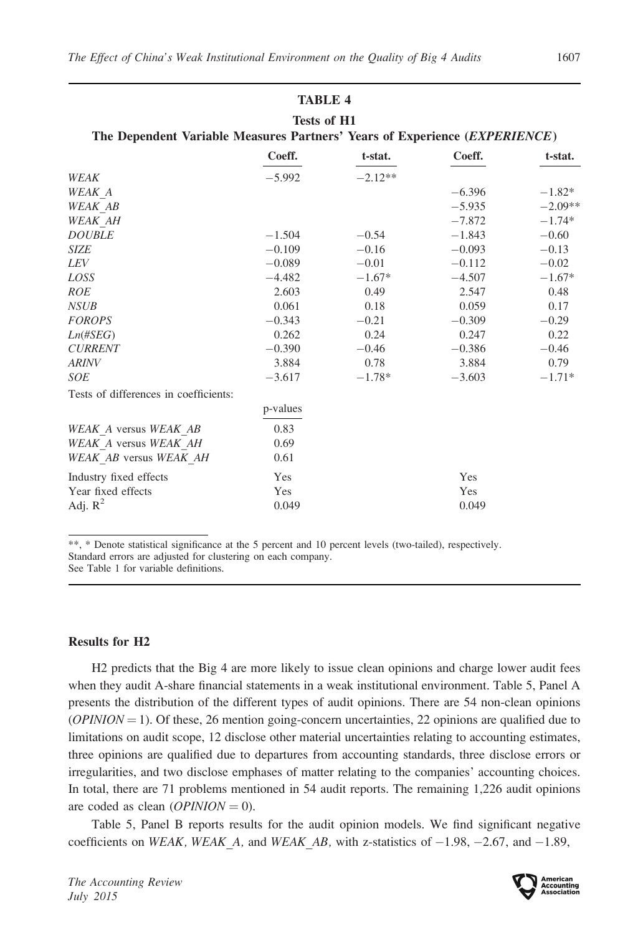| Tests of H1                                                                |
|----------------------------------------------------------------------------|
| The Dependent Variable Measures Partners' Years of Experience (EXPERIENCE) |

|                                       | Coeff.   | t-stat.   | Coeff.   | t-stat.   |
|---------------------------------------|----------|-----------|----------|-----------|
| WEAK                                  | $-5.992$ | $-2.12**$ |          |           |
| WEAK A                                |          |           | $-6.396$ | $-1.82*$  |
| <b>WEAK AB</b>                        |          |           | $-5.935$ | $-2.09**$ |
| WEAK AH                               |          |           | $-7.872$ | $-1.74*$  |
| $\it DOUBLE$                          | $-1.504$ | $-0.54$   | $-1.843$ | $-0.60$   |
| SIZE                                  | $-0.109$ | $-0.16$   | $-0.093$ | $-0.13$   |
| <i>LEV</i>                            | $-0.089$ | $-0.01$   | $-0.112$ | $-0.02$   |
| LOSS                                  | $-4.482$ | $-1.67*$  | $-4.507$ | $-1.67*$  |
| <b>ROE</b>                            | 2.603    | 0.49      | 2.547    | 0.48      |
| <b>NSUB</b>                           | 0.061    | 0.18      | 0.059    | 0.17      |
| <b>FOROPS</b>                         | $-0.343$ | $-0.21$   | $-0.309$ | $-0.29$   |
| $Ln(\#SEG)$                           | 0.262    | 0.24      | 0.247    | 0.22      |
| <b>CURRENT</b>                        | $-0.390$ | $-0.46$   | $-0.386$ | $-0.46$   |
| <b>ARINV</b>                          | 3.884    | 0.78      | 3.884    | 0.79      |
| <b>SOE</b>                            | $-3.617$ | $-1.78*$  | $-3.603$ | $-1.71*$  |
| Tests of differences in coefficients: |          |           |          |           |
|                                       | p-values |           |          |           |
| WEAK A versus WEAK AB                 | 0.83     |           |          |           |
| WEAK A versus WEAK AH                 | 0.69     |           |          |           |
| WEAK AB versus WEAK AH                | 0.61     |           |          |           |
| Industry fixed effects                | Yes      |           | Yes      |           |
| Year fixed effects                    | Yes      |           | Yes      |           |
| Adj. $R^2$                            | 0.049    |           | 0.049    |           |

\*\*, \* Denote statistical significance at the 5 percent and 10 percent levels (two-tailed), respectively. Standard errors are adjusted for clustering on each company.

See Table 1 for variable definitions.

#### Results for H2

H2 predicts that the Big 4 are more likely to issue clean opinions and charge lower audit fees when they audit A-share financial statements in a weak institutional environment. Table 5, Panel A presents the distribution of the different types of audit opinions. There are 54 non-clean opinions  $(OPINION = 1)$ . Of these, 26 mention going-concern uncertainties, 22 opinions are qualified due to limitations on audit scope, 12 disclose other material uncertainties relating to accounting estimates, three opinions are qualified due to departures from accounting standards, three disclose errors or irregularities, and two disclose emphases of matter relating to the companies' accounting choices. In total, there are 71 problems mentioned in 54 audit reports. The remaining 1,226 audit opinions are coded as clean  $(OPINION = 0)$ .

Table 5, Panel B reports results for the audit opinion models. We find significant negative coefficients on *WEAK*, *WEAK* A, and *WEAK* AB, with z-statistics of  $-1.98$ ,  $-2.67$ , and  $-1.89$ ,

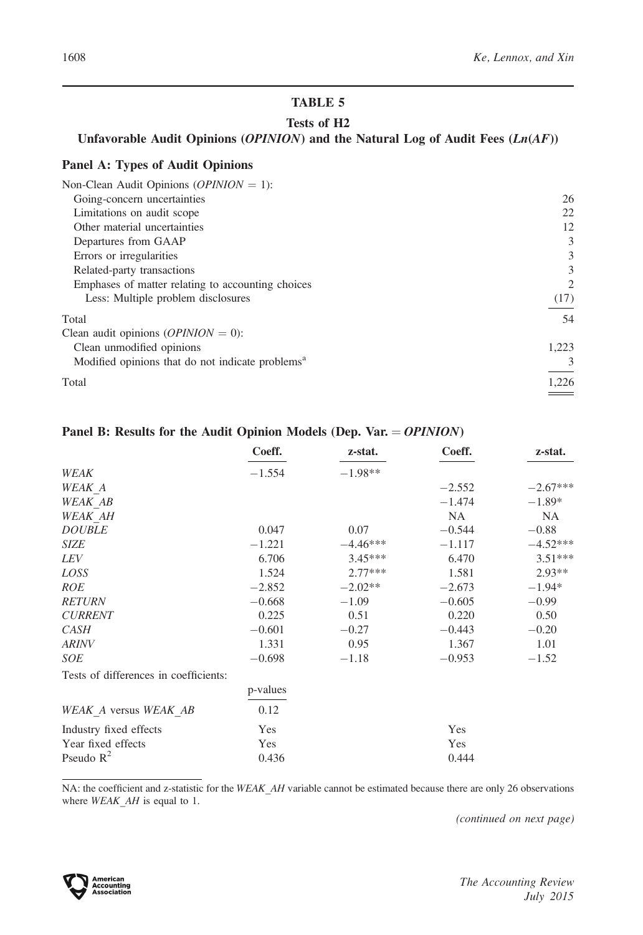## Tests of H2

## Unfavorable Audit Opinions (OPINION) and the Natural Log of Audit Fees (Ln(AF))

## Panel A: Types of Audit Opinions

| Non-Clean Audit Opinions ( <i>OPINION</i> = 1):              |       |
|--------------------------------------------------------------|-------|
| Going-concern uncertainties                                  | 26    |
| Limitations on audit scope                                   | 22    |
| Other material uncertainties                                 | 12    |
| Departures from GAAP                                         | 3     |
| Errors or irregularities                                     | 3     |
| Related-party transactions                                   | 3     |
| Emphases of matter relating to accounting choices            | 2     |
| Less: Multiple problem disclosures                           | (17)  |
| Total                                                        | 54    |
| Clean audit opinions ( $OPINION = 0$ ):                      |       |
| Clean unmodified opinions                                    | 1,223 |
| Modified opinions that do not indicate problems <sup>a</sup> | 3     |
| Total                                                        | 1,226 |
|                                                              |       |

## Panel B: Results for the Audit Opinion Models (Dep. Var.  $= OPINION$ )

|                                       | Coeff.   | z-stat.    | Coeff.    | z-stat.    |
|---------------------------------------|----------|------------|-----------|------------|
| WEAK                                  | $-1.554$ | $-1.98**$  |           |            |
| WEAK A                                |          |            | $-2.552$  | $-2.67***$ |
| <b>WEAK AB</b>                        |          |            | $-1.474$  | $-1.89*$   |
| <b>WEAK AH</b>                        |          |            | <b>NA</b> | NA.        |
| <b>DOUBLE</b>                         | 0.047    | 0.07       | $-0.544$  | $-0.88$    |
| <b>SIZE</b>                           | $-1.221$ | $-4.46***$ | $-1.117$  | $-4.52***$ |
| LEV                                   | 6.706    | $3.45***$  | 6.470     | $3.51***$  |
| LOSS                                  | 1.524    | $2.77***$  | 1.581     | $2.93**$   |
| <b>ROE</b>                            | $-2.852$ | $-2.02**$  | $-2.673$  | $-1.94*$   |
| <b>RETURN</b>                         | $-0.668$ | $-1.09$    | $-0.605$  | $-0.99$    |
| <b>CURRENT</b>                        | 0.225    | 0.51       | 0.220     | 0.50       |
| <b>CASH</b>                           | $-0.601$ | $-0.27$    | $-0.443$  | $-0.20$    |
| <b>ARINV</b>                          | 1.331    | 0.95       | 1.367     | 1.01       |
| <b>SOE</b>                            | $-0.698$ | $-1.18$    | $-0.953$  | $-1.52$    |
| Tests of differences in coefficients: |          |            |           |            |
|                                       | p-values |            |           |            |
| WEAK A versus WEAK AB                 | 0.12     |            |           |            |
| Industry fixed effects                | Yes      |            | Yes       |            |
| Year fixed effects                    | Yes      |            | Yes       |            |
| Pseudo $R^2$                          | 0.436    |            | 0.444     |            |

NA: the coefficient and z-statistic for the WEAK\_AH variable cannot be estimated because there are only 26 observations where  $WEAK\_AH$  is equal to 1.

(continued on next page)

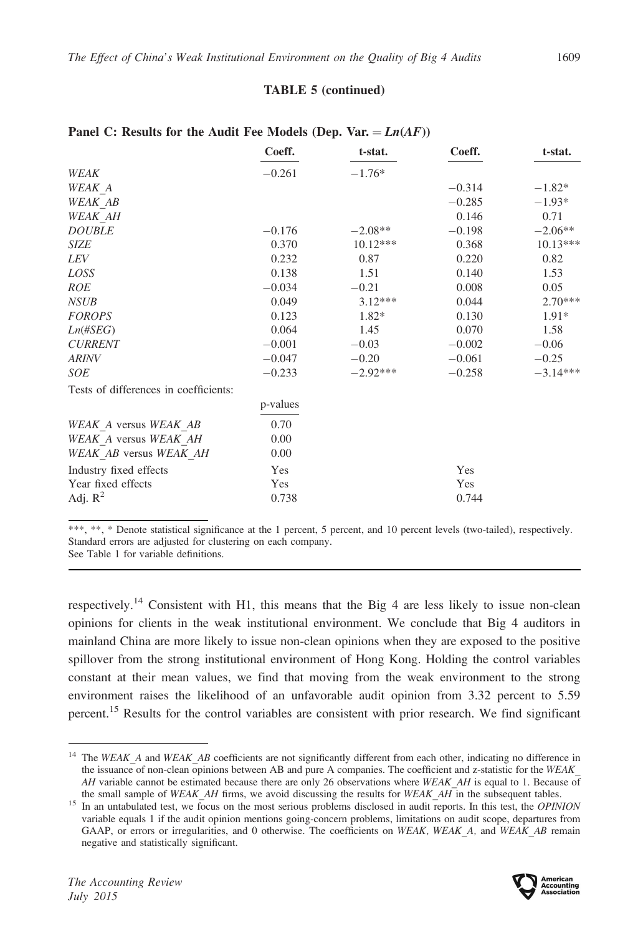## TABLE 5 (continued)

|                                       | Coeff.   | t-stat.    | Coeff.   | t-stat.    |
|---------------------------------------|----------|------------|----------|------------|
| WEAK                                  | $-0.261$ | $-1.76*$   |          |            |
| <b>WEAK A</b>                         |          |            | $-0.314$ | $-1.82*$   |
| WEAK AB                               |          |            | $-0.285$ | $-1.93*$   |
| WEAK AH                               |          |            | 0.146    | 0.71       |
| <b>DOUBLE</b>                         | $-0.176$ | $-2.08**$  | $-0.198$ | $-2.06**$  |
| <b>SIZE</b>                           | 0.370    | $10.12***$ | 0.368    | $10.13***$ |
| <i>LEV</i>                            | 0.232    | 0.87       | 0.220    | 0.82       |
| LOSS                                  | 0.138    | 1.51       | 0.140    | 1.53       |
| <b>ROE</b>                            | $-0.034$ | $-0.21$    | 0.008    | 0.05       |
| <b>NSUB</b>                           | 0.049    | $3.12***$  | 0.044    | $2.70***$  |
| <b>FOROPS</b>                         | 0.123    | $1.82*$    | 0.130    | $1.91*$    |
| $Ln(\#SEG)$                           | 0.064    | 1.45       | 0.070    | 1.58       |
| <b>CURRENT</b>                        | $-0.001$ | $-0.03$    | $-0.002$ | $-0.06$    |
| <b>ARINV</b>                          | $-0.047$ | $-0.20$    | $-0.061$ | $-0.25$    |
| <b>SOE</b>                            | $-0.233$ | $-2.92***$ | $-0.258$ | $-3.14***$ |
| Tests of differences in coefficients: |          |            |          |            |
|                                       | p-values |            |          |            |
| WEAK A versus WEAK AB                 | 0.70     |            |          |            |
| WEAK A versus WEAK AH                 | 0.00     |            |          |            |
| WEAK AB versus WEAK AH                | 0.00     |            |          |            |
| Industry fixed effects                | Yes      |            | Yes      |            |
| Year fixed effects                    | Yes      |            | Yes      |            |
| Adj. $R^2$                            | 0.738    |            | 0.744    |            |

## Panel C: Results for the Audit Fee Models (Dep. Var.  $= Ln(AF)$ )

\*\*\*, \*\*, \* Denote statistical significance at the 1 percent, 5 percent, and 10 percent levels (two-tailed), respectively. Standard errors are adjusted for clustering on each company.

See Table 1 for variable definitions.

respectively.<sup>14</sup> Consistent with H1, this means that the Big 4 are less likely to issue non-clean opinions for clients in the weak institutional environment. We conclude that Big 4 auditors in mainland China are more likely to issue non-clean opinions when they are exposed to the positive spillover from the strong institutional environment of Hong Kong. Holding the control variables constant at their mean values, we find that moving from the weak environment to the strong environment raises the likelihood of an unfavorable audit opinion from 3.32 percent to 5.59 percent.<sup>15</sup> Results for the control variables are consistent with prior research. We find significant

 $14$  The WEAK A and WEAK AB coefficients are not significantly different from each other, indicating no difference in the issuance of non-clean opinions between AB and pure A companies. The coefficient and z-statistic for the WEAK AH variable cannot be estimated because there are only 26 observations where WEAK AH is equal to 1. Because of the small sample of WEAK AH firms, we avoid discussing the results for WEAK AH in the subsequent tables.

<sup>&</sup>lt;sup>15</sup> In an untabulated test, we focus on the most serious problems disclosed in audit reports. In this test, the OPINION variable equals 1 if the audit opinion mentions going-concern problems, limitations on audit scope, departures from GAAP, or errors or irregularities, and 0 otherwise. The coefficients on WEAK, WEAK A, and WEAK AB remain negative and statistically significant.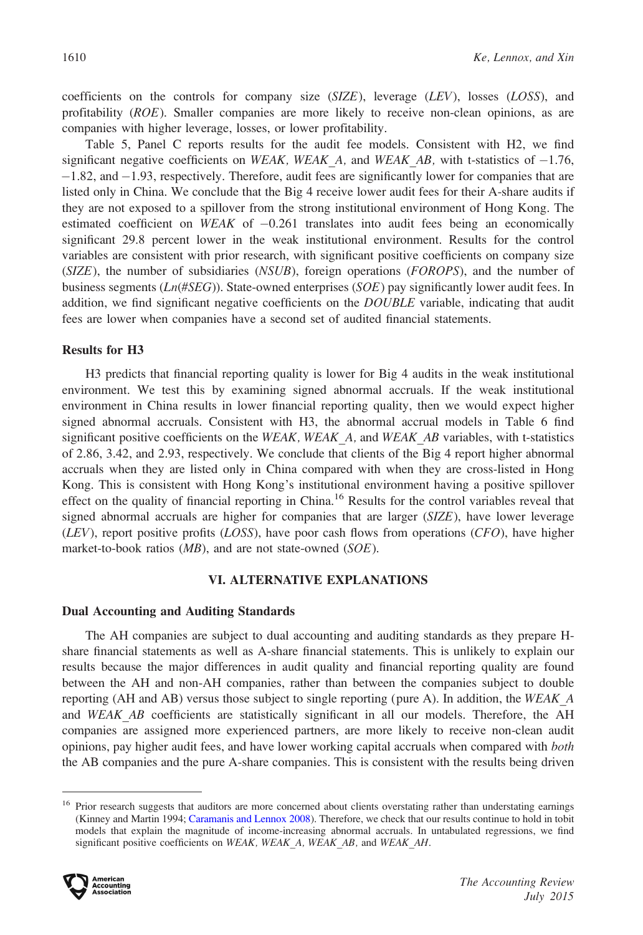coefficients on the controls for company size  $(SIZE)$ , leverage  $(LEV)$ , losses  $(LOS)$ , and profitability (ROE). Smaller companies are more likely to receive non-clean opinions, as are companies with higher leverage, losses, or lower profitability.

Table 5, Panel C reports results for the audit fee models. Consistent with H2, we find significant negative coefficients on WEAK, WEAK  $A$ , and WEAK  $AB$ , with t-statistics of  $-1.76$ , -1.82, and -1.93, respectively. Therefore, audit fees are significantly lower for companies that are listed only in China. We conclude that the Big 4 receive lower audit fees for their A-share audits if they are not exposed to a spillover from the strong institutional environment of Hong Kong. The estimated coefficient on  $WEAK$  of  $-0.261$  translates into audit fees being an economically significant 29.8 percent lower in the weak institutional environment. Results for the control variables are consistent with prior research, with significant positive coefficients on company size  $(SIZE)$ , the number of subsidiaries  $(NSUB)$ , foreign operations  $(FOROPS)$ , and the number of business segments ( $Ln(\#SEG)$ ). State-owned enterprises ( $SOE$ ) pay significantly lower audit fees. In addition, we find significant negative coefficients on the DOUBLE variable, indicating that audit fees are lower when companies have a second set of audited financial statements.

## Results for H3

H3 predicts that financial reporting quality is lower for Big 4 audits in the weak institutional environment. We test this by examining signed abnormal accruals. If the weak institutional environment in China results in lower financial reporting quality, then we would expect higher signed abnormal accruals. Consistent with H3, the abnormal accrual models in Table 6 find significant positive coefficients on the WEAK, WEAK  $A$ , and WEAK  $AB$  variables, with t-statistics of 2.86, 3.42, and 2.93, respectively. We conclude that clients of the Big 4 report higher abnormal accruals when they are listed only in China compared with when they are cross-listed in Hong Kong. This is consistent with Hong Kong's institutional environment having a positive spillover effect on the quality of financial reporting in China.<sup>16</sup> Results for the control variables reveal that signed abnormal accruals are higher for companies that are larger  $(SIZE)$ , have lower leverage  $(LEV)$ , report positive profits ( $LOSS$ ), have poor cash flows from operations ( $CFO$ ), have higher market-to-book ratios  $(MB)$ , and are not state-owned  $(SOE)$ .

#### VI. ALTERNATIVE EXPLANATIONS

#### Dual Accounting and Auditing Standards

The AH companies are subject to dual accounting and auditing standards as they prepare Hshare financial statements as well as A-share financial statements. This is unlikely to explain our results because the major differences in audit quality and financial reporting quality are found between the AH and non-AH companies, rather than between the companies subject to double reporting (AH and AB) versus those subject to single reporting (pure A). In addition, the WEAK  $\overline{A}$ and WEAK AB coefficients are statistically significant in all our models. Therefore, the AH companies are assigned more experienced partners, are more likely to receive non-clean audit opinions, pay higher audit fees, and have lower working capital accruals when compared with both the AB companies and the pure A-share companies. This is consistent with the results being driven

<sup>&</sup>lt;sup>16</sup> Prior research suggests that auditors are more concerned about clients overstating rather than understating earnings (Kinney and Martin 1994; [Caramanis and Lennox 2008](#page-27-0)). Therefore, we check that our results continue to hold in tobit models that explain the magnitude of income-increasing abnormal accruals. In untabulated regressions, we find significant positive coefficients on WEAK, WEAK\_A, WEAK\_AB, and WEAK\_AH.

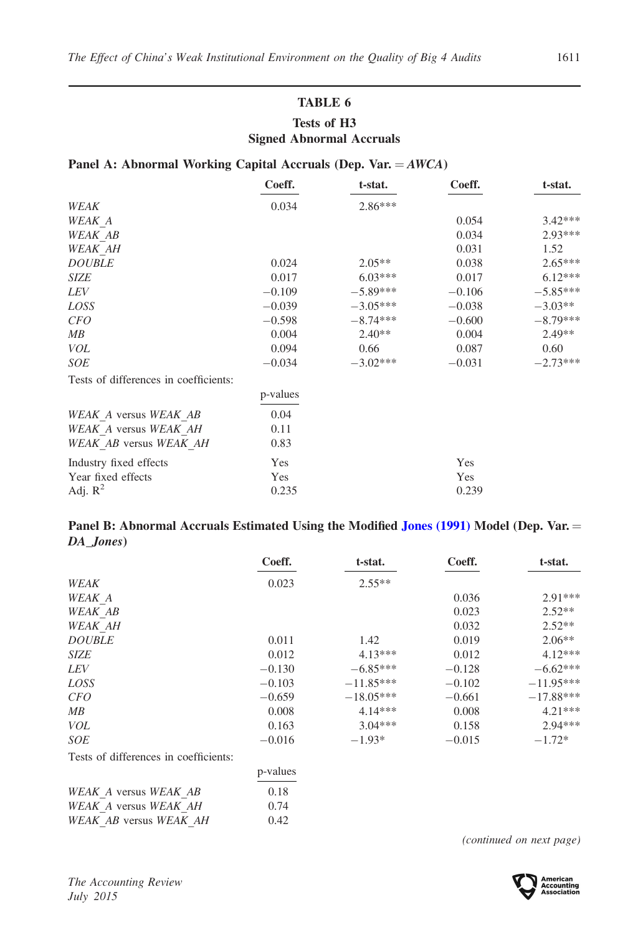# TABLE 6 Tests of H3 Signed Abnormal Accruals

## Panel A: Abnormal Working Capital Accruals (Dep. Var.  $=AWCA$ )

|                                       | Coeff.   | t-stat.    | Coeff.   | t-stat.    |
|---------------------------------------|----------|------------|----------|------------|
| WEAK                                  | 0.034    | $2.86***$  |          |            |
| WEAK A                                |          |            | 0.054    | $3.42***$  |
| <b>WEAK AB</b>                        |          |            | 0.034    | $2.93***$  |
| WEAK AH                               |          |            | 0.031    | 1.52       |
| <b>DOUBLE</b>                         | 0.024    | $2.05**$   | 0.038    | $2.65***$  |
| <b>SIZE</b>                           | 0.017    | $6.03***$  | 0.017    | $6.12***$  |
| <i>LEV</i>                            | $-0.109$ | $-5.89***$ | $-0.106$ | $-5.85***$ |
| LOSS                                  | $-0.039$ | $-3.05***$ | $-0.038$ | $-3.03**$  |
| <i>CFO</i>                            | $-0.598$ | $-8.74***$ | $-0.600$ | $-8.79***$ |
| MB                                    | 0.004    | $2.40**$   | 0.004    | $2.49**$   |
| <b>VOL</b>                            | 0.094    | 0.66       | 0.087    | 0.60       |
| SOE                                   | $-0.034$ | $-3.02***$ | $-0.031$ | $-2.73***$ |
| Tests of differences in coefficients: |          |            |          |            |
|                                       | p-values |            |          |            |
| WEAK A versus WEAK AB                 | 0.04     |            |          |            |
| WEAK A versus WEAK AH                 | 0.11     |            |          |            |
| WEAK AB versus WEAK AH                | 0.83     |            |          |            |
| Industry fixed effects                | Yes      |            | Yes      |            |
| Year fixed effects                    | Yes      |            | Yes      |            |
| Adj. $R^2$                            | 0.235    |            | 0.239    |            |

## Panel B: Abnormal Accruals Estimated Using the Modified [Jones \(1991\)](#page-28-0) Model (Dep. Var. = DA\_Jones)

|                                       | Coeff.   | t-stat.     | Coeff.   | t-stat.     |
|---------------------------------------|----------|-------------|----------|-------------|
| WEAK                                  | 0.023    | $2.55**$    |          |             |
| WEAK A                                |          |             | 0.036    | 2.91***     |
| WEAK AB                               |          |             | 0.023    | $2.52**$    |
| <b>WEAK AH</b>                        |          |             | 0.032    | $2.52**$    |
| <b>DOUBLE</b>                         | 0.011    | 1.42        | 0.019    | $2.06**$    |
| <b>SIZE</b>                           | 0.012    | $4.13***$   | 0.012    | $4.12***$   |
| <i>LEV</i>                            | $-0.130$ | $-6.85***$  | $-0.128$ | $-6.62***$  |
| LOSS                                  | $-0.103$ | $-11.85***$ | $-0.102$ | $-11.95***$ |
| <i>CFO</i>                            | $-0.659$ | $-18.05***$ | $-0.661$ | $-17.88***$ |
| MВ                                    | 0.008    | $4.14***$   | 0.008    | $4.21***$   |
| <b>VOL</b>                            | 0.163    | $3.04***$   | 0.158    | $2.94***$   |
| <b>SOE</b>                            | $-0.016$ | $-1.93*$    | $-0.015$ | $-1.72*$    |
| Tests of differences in coefficients: |          |             |          |             |
|                                       | p-values |             |          |             |
| WEAK A versus WEAK AB                 | 0.18     |             |          |             |
| WEAK A versus WEAK AH                 | 0.74     |             |          |             |

(continued on next page)



WEAK\_AB versus WEAK\_AH 0.42

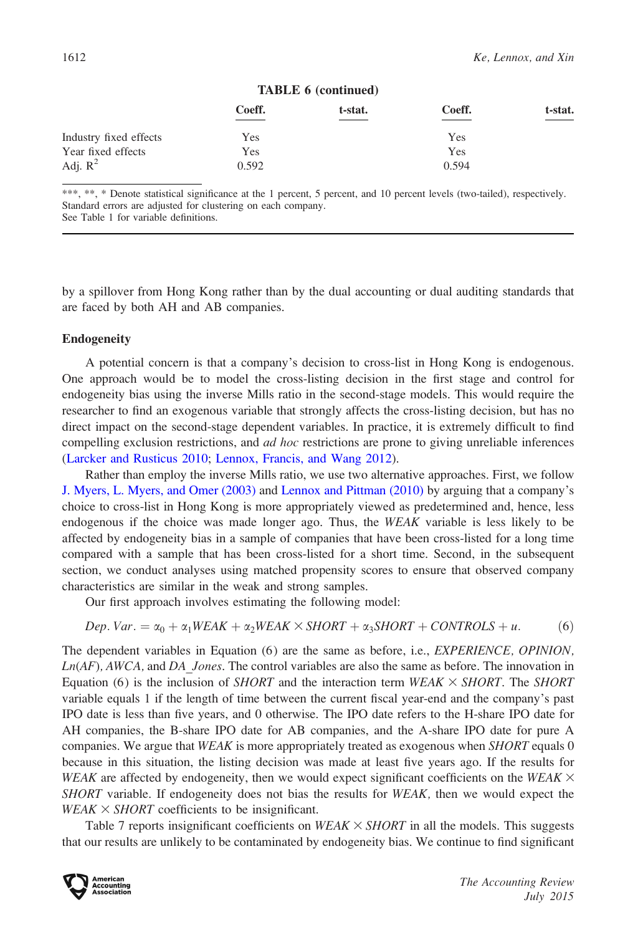|                        |        | TABLE 6 (continued) |        |         |
|------------------------|--------|---------------------|--------|---------|
|                        | Coeff. | t-stat.             | Coeff. | t-stat. |
| Industry fixed effects | Yes    |                     | Yes    |         |
| Year fixed effects     | Yes    |                     | Yes    |         |
| Adj. $R^2$             | 0.592  |                     | 0.594  |         |

#### TABLE 6 (continued)

\*\*\*, \*\*, \* Denote statistical significance at the 1 percent, 5 percent, and 10 percent levels (two-tailed), respectively. Standard errors are adjusted for clustering on each company. See Table 1 for variable definitions.

by a spillover from Hong Kong rather than by the dual accounting or dual auditing standards that are faced by both AH and AB companies.

## Endogeneity

A potential concern is that a company's decision to cross-list in Hong Kong is endogenous. One approach would be to model the cross-listing decision in the first stage and control for endogeneity bias using the inverse Mills ratio in the second-stage models. This would require the researcher to find an exogenous variable that strongly affects the cross-listing decision, but has no direct impact on the second-stage dependent variables. In practice, it is extremely difficult to find compelling exclusion restrictions, and *ad hoc* restrictions are prone to giving unreliable inferences [\(Larcker and Rusticus 2010](#page-28-0); [Lennox, Francis, and Wang 2012\)](#page-28-0).

Rather than employ the inverse Mills ratio, we use two alternative approaches. First, we follow [J. Myers, L. Myers, and Omer \(2003\)](#page-28-0) and [Lennox and Pittman \(2010\)](#page-28-0) by arguing that a company's choice to cross-list in Hong Kong is more appropriately viewed as predetermined and, hence, less endogenous if the choice was made longer ago. Thus, the WEAK variable is less likely to be affected by endogeneity bias in a sample of companies that have been cross-listed for a long time compared with a sample that has been cross-listed for a short time. Second, in the subsequent section, we conduct analyses using matched propensity scores to ensure that observed company characteristics are similar in the weak and strong samples.

Our first approach involves estimating the following model:

$$
Dep. Var. = \alpha_0 + \alpha_1 WEAK + \alpha_2 WEAK \times SHORT + \alpha_3 SHORT + CONTROLS + u. \tag{6}
$$

The dependent variables in Equation (6) are the same as before, i.e., EXPERIENCE, OPINION,  $Ln(AF)$ ,  $AWCA$ , and DA Jones. The control variables are also the same as before. The innovation in Equation (6) is the inclusion of *SHORT* and the interaction term *WEAK*  $\times$  *SHORT*. The *SHORT* variable equals 1 if the length of time between the current fiscal year-end and the company's past IPO date is less than five years, and 0 otherwise. The IPO date refers to the H-share IPO date for AH companies, the B-share IPO date for AB companies, and the A-share IPO date for pure A companies. We argue that  $WEAK$  is more appropriately treated as exogenous when  $SHORT$  equals 0 because in this situation, the listing decision was made at least five years ago. If the results for WEAK are affected by endogeneity, then we would expect significant coefficients on the WEAK  $\times$ SHORT variable. If endogeneity does not bias the results for WEAK, then we would expect the  $WEAK \times SHORT$  coefficients to be insignificant.

Table 7 reports insignificant coefficients on  $WEAK \times SHORT$  in all the models. This suggests that our results are unlikely to be contaminated by endogeneity bias. We continue to find significant

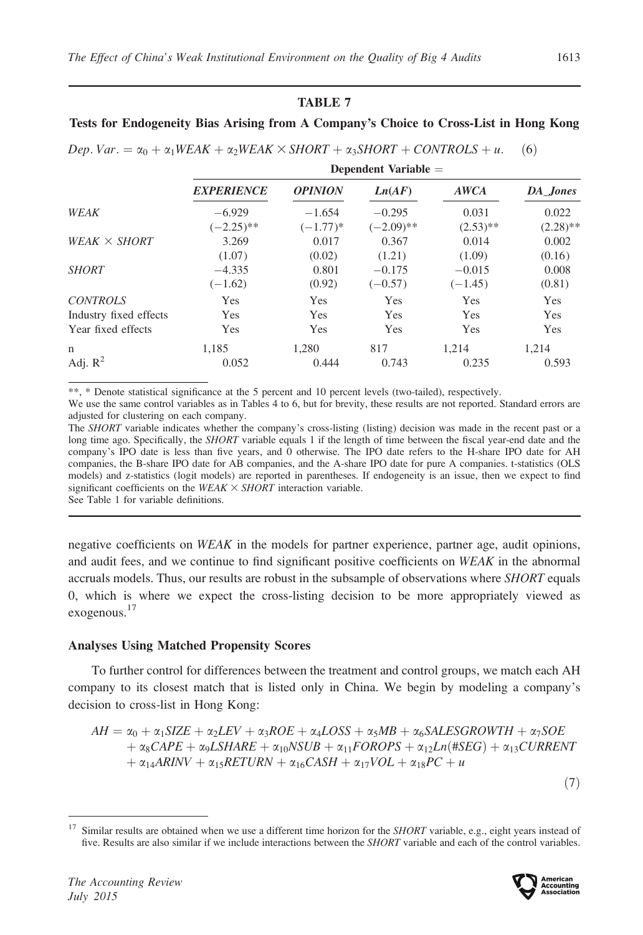## Tests for Endogeneity Bias Arising from A Company's Choice to Cross-List in Hong Kong

| <b>EXPERIENCE</b> | <b>OPINION</b> | Ln(AF)       | <b>AWCA</b> | DA Jones                    |  |
|-------------------|----------------|--------------|-------------|-----------------------------|--|
| $-6.929$          | $-1.654$       | $-0.295$     | 0.031       | 0.022                       |  |
| $(-2.25)$ **      | $(-1.77)*$     | $(-2.09)$ ** | $(2.53)$ ** | $(2.28)$ **                 |  |
| 3.269             | 0.017          | 0.367        | 0.014       | 0.002                       |  |
| (1.07)            | (0.02)         | (1.21)       | (1.09)      | (0.16)                      |  |
| $-4.335$          | 0.801          | $-0.175$     | $-0.015$    | 0.008                       |  |
| $(-1.62)$         | (0.92)         | $(-0.57)$    | $(-1.45)$   | (0.81)                      |  |
| Yes               | <b>Yes</b>     | <b>Yes</b>   | <b>Yes</b>  | <b>Yes</b>                  |  |
| Yes               | Yes            | Yes          | <b>Yes</b>  | Yes                         |  |
| Yes               | Yes            | Yes          | Yes         | Yes                         |  |
| 1.185             | 1.280          | 817          | 1.214       | 1.214                       |  |
| 0.052             | 0.444          | 0.743        | 0.235       | 0.593                       |  |
|                   |                |              |             | $D$ c $D$ chucht variable – |  |

\*\*, \* Denote statistical significance at the 5 percent and 10 percent levels (two-tailed), respectively.

We use the same control variables as in Tables 4 to 6, but for brevity, these results are not reported. Standard errors are adjusted for clustering on each company.

The SHORT variable indicates whether the company's cross-listing (listing) decision was made in the recent past or a long time ago. Specifically, the SHORT variable equals 1 if the length of time between the fiscal year-end date and the company's IPO date is less than five years, and 0 otherwise. The IPO date refers to the H-share IPO date for AH companies, the B-share IPO date for AB companies, and the A-share IPO date for pure A companies. t-statistics (OLS models) and z-statistics (logit models) are reported in parentheses. If endogeneity is an issue, then we expect to find significant coefficients on the WEAK  $\times$  SHORT interaction variable.

See Table 1 for variable definitions.

negative coefficients on WEAK in the models for partner experience, partner age, audit opinions, and audit fees, and we continue to find significant positive coefficients on WEAK in the abnormal accruals models. Thus, our results are robust in the subsample of observations where SHORT equals 0, which is where we expect the cross-listing decision to be more appropriately viewed as exogenous.<sup>17</sup>

#### Analyses Using Matched Propensity Scores

To further control for differences between the treatment and control groups, we match each AH company to its closest match that is listed only in China. We begin by modeling a company's decision to cross-list in Hong Kong:

$$
AH = \alpha_0 + \alpha_1 SIZE + \alpha_2 LEV + \alpha_3 ROE + \alpha_4 LOSS + \alpha_5 MB + \alpha_6 SALESGROWTH + \alpha_7 SOE + \alpha_8 CAPE + \alpha_9 LSHARE + \alpha_{10} NSUB + \alpha_{11} FOROPS + \alpha_{12} Ln(#SEG) + \alpha_{13} CURRENT + \alpha_{14} ARINV + \alpha_{15} RETURN + \alpha_{16} CASH + \alpha_{17} VOL + \alpha_{18} PC + u
$$

 $(7)$ 

<sup>&</sup>lt;sup>17</sup> Similar results are obtained when we use a different time horizon for the *SHORT* variable, e.g., eight years instead of five. Results are also similar if we include interactions between the SHORT variable and each of the control variables.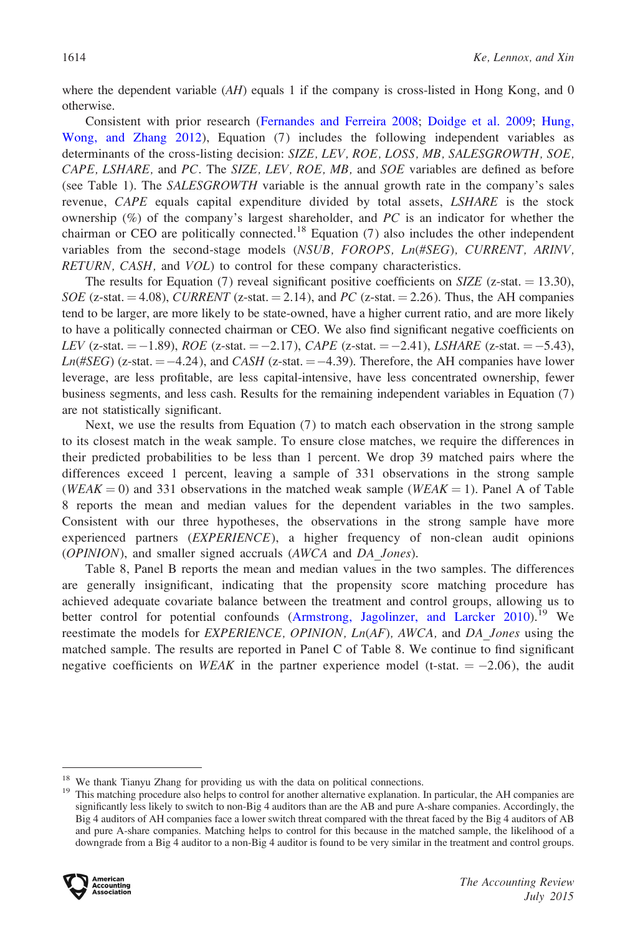where the dependent variable  $(AH)$  equals 1 if the company is cross-listed in Hong Kong, and 0 otherwise.

Consistent with prior research ([Fernandes and Ferreira 2008](#page-27-0); [Doidge et al. 2009](#page-27-0); [Hung,](#page-28-0) [Wong, and Zhang 2012\)](#page-28-0), Equation (7) includes the following independent variables as determinants of the cross-listing decision: SIZE, LEV, ROE, LOSS, MB, SALESGROWTH, SOE, CAPE, LSHARE, and PC. The SIZE, LEV, ROE, MB, and SOE variables are defined as before (see Table 1). The SALESGROWTH variable is the annual growth rate in the company's sales revenue, CAPE equals capital expenditure divided by total assets, LSHARE is the stock ownership  $(\%)$  of the company's largest shareholder, and PC is an indicator for whether the chairman or CEO are politically connected.<sup>18</sup> Equation (7) also includes the other independent variables from the second-stage models (NSUB, FOROPS, Ln(#SEG), CURRENT, ARINV, RETURN, CASH, and VOL) to control for these company characteristics.

The results for Equation (7) reveal significant positive coefficients on  $SIZE$  (z-stat. = 13.30),  $SOE$  (z-stat.  $= 4.08$ ), CURRENT (z-stat.  $= 2.14$ ), and PC (z-stat.  $= 2.26$ ). Thus, the AH companies tend to be larger, are more likely to be state-owned, have a higher current ratio, and are more likely to have a politically connected chairman or CEO. We also find significant negative coefficients on LEV (z-stat.  $= -1.89$ ), ROE (z-stat.  $= -2.17$ ), CAPE (z-stat.  $= -2.41$ ), LSHARE (z-stat.  $= -5.43$ ),  $Ln(\#SEG)$  (z-stat.  $= -4.24$ ), and  $CASH$  (z-stat.  $= -4.39$ ). Therefore, the AH companies have lower leverage, are less profitable, are less capital-intensive, have less concentrated ownership, fewer business segments, and less cash. Results for the remaining independent variables in Equation (7) are not statistically significant.

Next, we use the results from Equation (7) to match each observation in the strong sample to its closest match in the weak sample. To ensure close matches, we require the differences in their predicted probabilities to be less than 1 percent. We drop 39 matched pairs where the differences exceed 1 percent, leaving a sample of 331 observations in the strong sample (WEAK = 0) and 331 observations in the matched weak sample (WEAK = 1). Panel A of Table 8 reports the mean and median values for the dependent variables in the two samples. Consistent with our three hypotheses, the observations in the strong sample have more experienced partners  $(EXPERIENCE)$ , a higher frequency of non-clean audit opinions (OPINION), and smaller signed accruals (AWCA and DA\_Jones).

Table 8, Panel B reports the mean and median values in the two samples. The differences are generally insignificant, indicating that the propensity score matching procedure has achieved adequate covariate balance between the treatment and control groups, allowing us to better control for potential confounds [\(Armstrong, Jagolinzer, and Larcker 2010](#page-26-0)).<sup>19</sup> We reestimate the models for  $EXPERIENCE$ ,  $OPINION$ ,  $Ln(AF)$ ,  $AWCA$ , and  $DA$  Jones using the matched sample. The results are reported in Panel C of Table 8. We continue to find significant negative coefficients on WEAK in the partner experience model (t-stat.  $= -2.06$ ), the audit

<sup>&</sup>lt;sup>18</sup> We thank Tianyu Zhang for providing us with the data on political connections.<br><sup>19</sup> This matching procedure also helps to control for another alternative explanation. In particular, the AH companies are significantly less likely to switch to non-Big 4 auditors than are the AB and pure A-share companies. Accordingly, the Big 4 auditors of AH companies face a lower switch threat compared with the threat faced by the Big 4 auditors of AB and pure A-share companies. Matching helps to control for this because in the matched sample, the likelihood of a downgrade from a Big 4 auditor to a non-Big 4 auditor is found to be very similar in the treatment and control groups.

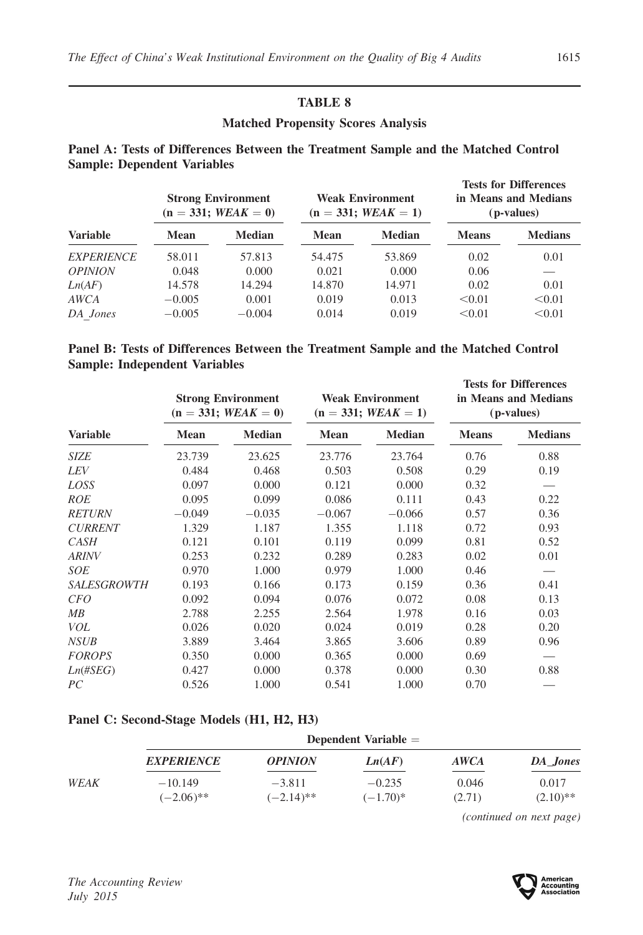## Matched Propensity Scores Analysis

## Panel A: Tests of Differences Between the Treatment Sample and the Matched Control Sample: Dependent Variables

|                       |             | <b>Strong Environment</b><br>$(n = 331; WEAK = 0)$ | <b>Weak Environment</b><br>$(n = 331; WEAK = 1)$ |               | <b>Tests for Differences</b><br>in Means and Medians<br>(p-values) |                |
|-----------------------|-------------|----------------------------------------------------|--------------------------------------------------|---------------|--------------------------------------------------------------------|----------------|
| <b>Variable</b>       | <b>Mean</b> | <b>Median</b>                                      | <b>Mean</b>                                      | <b>Median</b> | <b>Means</b>                                                       | <b>Medians</b> |
| <b>EXPERIENCE</b>     | 58.011      | 57.813                                             | 54.475                                           | 53.869        | 0.02                                                               | 0.01           |
| <i><b>OPINION</b></i> | 0.048       | 0.000                                              | 0.021                                            | 0.000         | 0.06                                                               |                |
| Ln(AF)                | 14.578      | 14.294                                             | 14.870                                           | 14.971        | 0.02                                                               | 0.01           |
| AWCA                  | $-0.005$    | 0.001                                              | 0.019                                            | 0.013         | < 0.01                                                             | < 0.01         |
| DA Jones              | $-0.005$    | $-0.004$                                           | 0.014                                            | 0.019         | < 0.01                                                             | < 0.01         |

## Panel B: Tests of Differences Between the Treatment Sample and the Matched Control Sample: Independent Variables

|                    | <b>Strong Environment</b><br>$(n = 331; WEAK = 0)$ |               | <b>Weak Environment</b><br>$(n = 331; WEAK = 1)$ |               | <b>Tests for Differences</b><br>in Means and Medians<br>( <i>p</i> -values) |                |
|--------------------|----------------------------------------------------|---------------|--------------------------------------------------|---------------|-----------------------------------------------------------------------------|----------------|
| <b>Variable</b>    | Mean                                               | <b>Median</b> | <b>Mean</b>                                      | <b>Median</b> | <b>Means</b>                                                                | <b>Medians</b> |
| <b>SIZE</b>        | 23.739                                             | 23.625        | 23.776                                           | 23.764        | 0.76                                                                        | 0.88           |
| <b>LEV</b>         | 0.484                                              | 0.468         | 0.503                                            | 0.508         | 0.29                                                                        | 0.19           |
| LOSS               | 0.097                                              | 0.000         | 0.121                                            | 0.000         | 0.32                                                                        |                |
| <b>ROE</b>         | 0.095                                              | 0.099         | 0.086                                            | 0.111         | 0.43                                                                        | 0.22           |
| <b>RETURN</b>      | $-0.049$                                           | $-0.035$      | $-0.067$                                         | $-0.066$      | 0.57                                                                        | 0.36           |
| <b>CURRENT</b>     | 1.329                                              | 1.187         | 1.355                                            | 1.118         | 0.72                                                                        | 0.93           |
| <b>CASH</b>        | 0.121                                              | 0.101         | 0.119                                            | 0.099         | 0.81                                                                        | 0.52           |
| <b>ARINV</b>       | 0.253                                              | 0.232         | 0.289                                            | 0.283         | 0.02                                                                        | 0.01           |
| <b>SOE</b>         | 0.970                                              | 1.000         | 0.979                                            | 1.000         | 0.46                                                                        |                |
| <b>SALESGROWTH</b> | 0.193                                              | 0.166         | 0.173                                            | 0.159         | 0.36                                                                        | 0.41           |
| <i>CFO</i>         | 0.092                                              | 0.094         | 0.076                                            | 0.072         | 0.08                                                                        | 0.13           |
| MB                 | 2.788                                              | 2.255         | 2.564                                            | 1.978         | 0.16                                                                        | 0.03           |
| VOL                | 0.026                                              | 0.020         | 0.024                                            | 0.019         | 0.28                                                                        | 0.20           |
| <b>NSUB</b>        | 3.889                                              | 3.464         | 3.865                                            | 3.606         | 0.89                                                                        | 0.96           |
| <b>FOROPS</b>      | 0.350                                              | 0.000         | 0.365                                            | 0.000         | 0.69                                                                        |                |
| $Ln(\#SEG)$        | 0.427                                              | 0.000         | 0.378                                            | 0.000         | 0.30                                                                        | 0.88           |
| PC                 | 0.526                                              | 1.000         | 0.541                                            | 1.000         | 0.70                                                                        |                |

#### Panel C: Second-Stage Models (H1, H2, H3)

|      | <b>EXPERIENCE</b>         | <i><b>OPINION</b></i>    | Ln(AF)                  | <b>AWCA</b>     | DA Jones            |
|------|---------------------------|--------------------------|-------------------------|-----------------|---------------------|
| WEAK | $-10.149$<br>$(-2.06)$ ** | $-3.811$<br>$(-2.14)$ ** | $-0.235$<br>$(-1.70)^*$ | 0.046<br>(2.71) | 0.017<br>$(2.10)**$ |

(continued on next page)

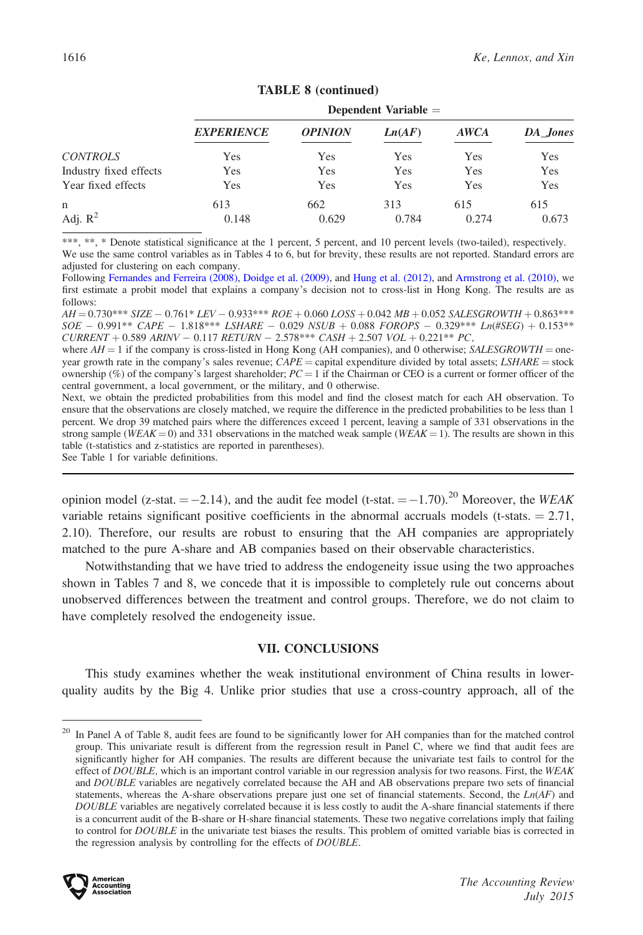|                        | Dependent Variable $=$ |                |        |             |          |  |  |
|------------------------|------------------------|----------------|--------|-------------|----------|--|--|
|                        | <b>EXPERIENCE</b>      | <b>OPINION</b> | Ln(AF) | <b>AWCA</b> | DA Jones |  |  |
| <b>CONTROLS</b>        | Yes                    | Yes            | Yes    | Yes         | Yes      |  |  |
| Industry fixed effects | Yes                    | Yes            | Yes    | Yes         | Yes      |  |  |
| Year fixed effects     | Yes                    | Yes            | Yes    | Yes         | Yes      |  |  |
| n                      | 613                    | 662            | 313    | 615         | 615      |  |  |
| Adj. $R^2$             | 0.148                  | 0.629          | 0.784  | 0.274       | 0.673    |  |  |

## TABLE 8 (continued)

\*\*\*, \*\*, \* Denote statistical significance at the 1 percent, 5 percent, and 10 percent levels (two-tailed), respectively.

We use the same control variables as in Tables 4 to 6, but for brevity, these results are not reported. Standard errors are adjusted for clustering on each company.

Following [Fernandes and Ferreira \(2008\)](#page-27-0), [Doidge et al. \(2009\),](#page-27-0) and [Hung et al. \(2012\),](#page-28-0) and [Armstrong et al. \(2010\),](#page-26-0) we first estimate a probit model that explains a company's decision not to cross-list in Hong Kong. The results are as follows:

 $AH\!=\!0.730^{***}\,SIZE-0.761^{*}\,LEV-0.933^{***}\,ROE+0.060\,LOSS+0.042\,MB+0.052\,SALESGROWTH+0.863^{***}\,S.$  $SOE - 0.991**$   $CAPE - 1.818***$   $LSHARE - 0.029$   $NSUB + 0.088$   $FOROPS - 0.329***$   $Ln(#SEG) + 0.153**$  $CURRENT + 0.589 \text{ ARINV} - 0.117 \text{ RETURN} - 2.578*** \text{ CASH} + 2.507 \text{ VOL} + 0.221** \text{ PC},$ 

where  $AH = 1$  if the company is cross-listed in Hong Kong (AH companies), and 0 otherwise; SALESGROWTH = oneyear growth rate in the company's sales revenue;  $CAPE =$  capital expenditure divided by total assets;  $LSHARE =$  stock ownership (%) of the company's largest shareholder;  $PC = 1$  if the Chairman or CEO is a current or former officer of the central government, a local government, or the military, and 0 otherwise.

Next, we obtain the predicted probabilities from this model and find the closest match for each AH observation. To ensure that the observations are closely matched, we require the difference in the predicted probabilities to be less than 1 percent. We drop 39 matched pairs where the differences exceed 1 percent, leaving a sample of 331 observations in the strong sample (WEAK = 0) and 331 observations in the matched weak sample (WEAK = 1). The results are shown in this table (t-statistics and z-statistics are reported in parentheses).

See Table 1 for variable definitions.

opinion model (z-stat.  $= -2.14$ ), and the audit fee model (t-stat.  $= -1.70$ ).<sup>20</sup> Moreover, the WEAK variable retains significant positive coefficients in the abnormal accruals models (t-stats.  $= 2.71$ , 2.10). Therefore, our results are robust to ensuring that the AH companies are appropriately matched to the pure A-share and AB companies based on their observable characteristics.

Notwithstanding that we have tried to address the endogeneity issue using the two approaches shown in Tables 7 and 8, we concede that it is impossible to completely rule out concerns about unobserved differences between the treatment and control groups. Therefore, we do not claim to have completely resolved the endogeneity issue.

## VII. CONCLUSIONS

This study examines whether the weak institutional environment of China results in lowerquality audits by the Big 4. Unlike prior studies that use a cross-country approach, all of the

<sup>&</sup>lt;sup>20</sup> In Panel A of Table 8, audit fees are found to be significantly lower for AH companies than for the matched control group. This univariate result is different from the regression result in Panel C, where we find that audit fees are significantly higher for AH companies. The results are different because the univariate test fails to control for the effect of DOUBLE, which is an important control variable in our regression analysis for two reasons. First, the WEAK and DOUBLE variables are negatively correlated because the AH and AB observations prepare two sets of financial statements, whereas the A-share observations prepare just one set of financial statements. Second, the  $Ln(AF)$  and DOUBLE variables are negatively correlated because it is less costly to audit the A-share financial statements if there is a concurrent audit of the B-share or H-share financial statements. These two negative correlations imply that failing to control for DOUBLE in the univariate test biases the results. This problem of omitted variable bias is corrected in the regression analysis by controlling for the effects of DOUBLE.

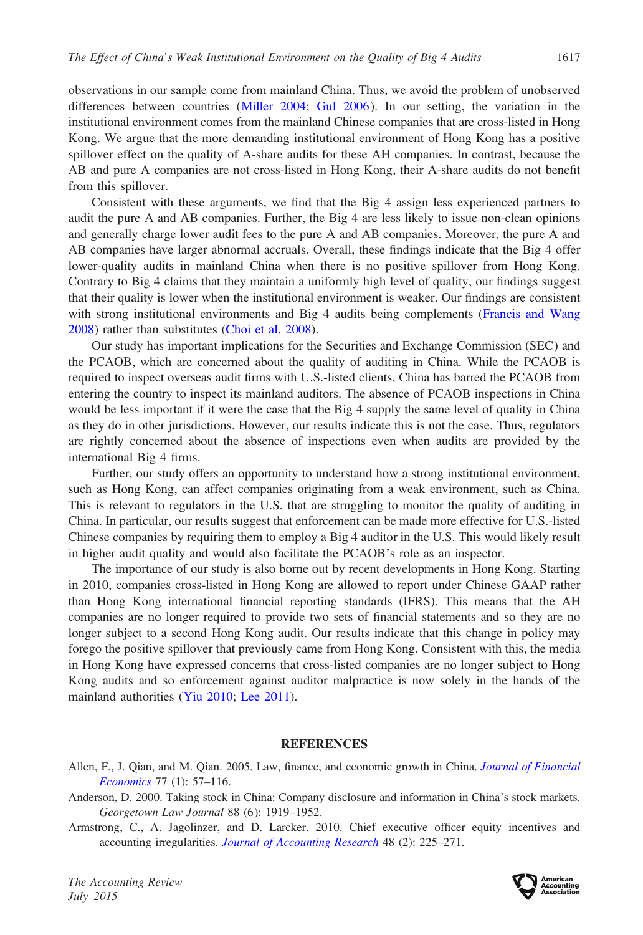<span id="page-26-0"></span>observations in our sample come from mainland China. Thus, we avoid the problem of unobserved differences between countries [\(Miller 2004;](#page-28-0) [Gul 2006](#page-27-0)). In our setting, the variation in the institutional environment comes from the mainland Chinese companies that are cross-listed in Hong Kong. We argue that the more demanding institutional environment of Hong Kong has a positive spillover effect on the quality of A-share audits for these AH companies. In contrast, because the AB and pure A companies are not cross-listed in Hong Kong, their A-share audits do not benefit from this spillover.

Consistent with these arguments, we find that the Big 4 assign less experienced partners to audit the pure A and AB companies. Further, the Big 4 are less likely to issue non-clean opinions and generally charge lower audit fees to the pure A and AB companies. Moreover, the pure A and AB companies have larger abnormal accruals. Overall, these findings indicate that the Big 4 offer lower-quality audits in mainland China when there is no positive spillover from Hong Kong. Contrary to Big 4 claims that they maintain a uniformly high level of quality, our findings suggest that their quality is lower when the institutional environment is weaker. Our findings are consistent with strong institutional environments and Big 4 audits being complements ([Francis and Wang](#page-27-0) [2008\)](#page-27-0) rather than substitutes ([Choi et al. 2008\)](#page-27-0).

Our study has important implications for the Securities and Exchange Commission (SEC) and the PCAOB, which are concerned about the quality of auditing in China. While the PCAOB is required to inspect overseas audit firms with U.S.-listed clients, China has barred the PCAOB from entering the country to inspect its mainland auditors. The absence of PCAOB inspections in China would be less important if it were the case that the Big 4 supply the same level of quality in China as they do in other jurisdictions. However, our results indicate this is not the case. Thus, regulators are rightly concerned about the absence of inspections even when audits are provided by the international Big 4 firms.

Further, our study offers an opportunity to understand how a strong institutional environment, such as Hong Kong, can affect companies originating from a weak environment, such as China. This is relevant to regulators in the U.S. that are struggling to monitor the quality of auditing in China. In particular, our results suggest that enforcement can be made more effective for U.S.-listed Chinese companies by requiring them to employ a Big 4 auditor in the U.S. This would likely result in higher audit quality and would also facilitate the PCAOB's role as an inspector.

The importance of our study is also borne out by recent developments in Hong Kong. Starting in 2010, companies cross-listed in Hong Kong are allowed to report under Chinese GAAP rather than Hong Kong international financial reporting standards (IFRS). This means that the AH companies are no longer required to provide two sets of financial statements and so they are no longer subject to a second Hong Kong audit. Our results indicate that this change in policy may forego the positive spillover that previously came from Hong Kong. Consistent with this, the media in Hong Kong have expressed concerns that cross-listed companies are no longer subject to Hong Kong audits and so enforcement against auditor malpractice is now solely in the hands of the mainland authorities ([Yiu 2010](#page-28-0); [Lee 2011\)](#page-28-0).

#### **REFERENCES**

- Allen, F., J. Qian, and M. Qian. 2005. Law, finance, and economic growth in China. [Journal of Financial](dx.doi.org/10.1016/j.jfineco.2004.06.010) [Economics](dx.doi.org/10.1016/j.jfineco.2004.06.010) 77 (1): 57–116.
- Anderson, D. 2000. Taking stock in China: Company disclosure and information in China's stock markets. Georgetown Law Journal 88 (6): 1919–1952.
- Armstrong, C., A. Jagolinzer, and D. Larcker. 2010. Chief executive officer equity incentives and accounting irregularities. [Journal of Accounting Research](dx.doi.org/10.1111/j.1475-679X.2009.00361.x) 48 (2): 225-271.

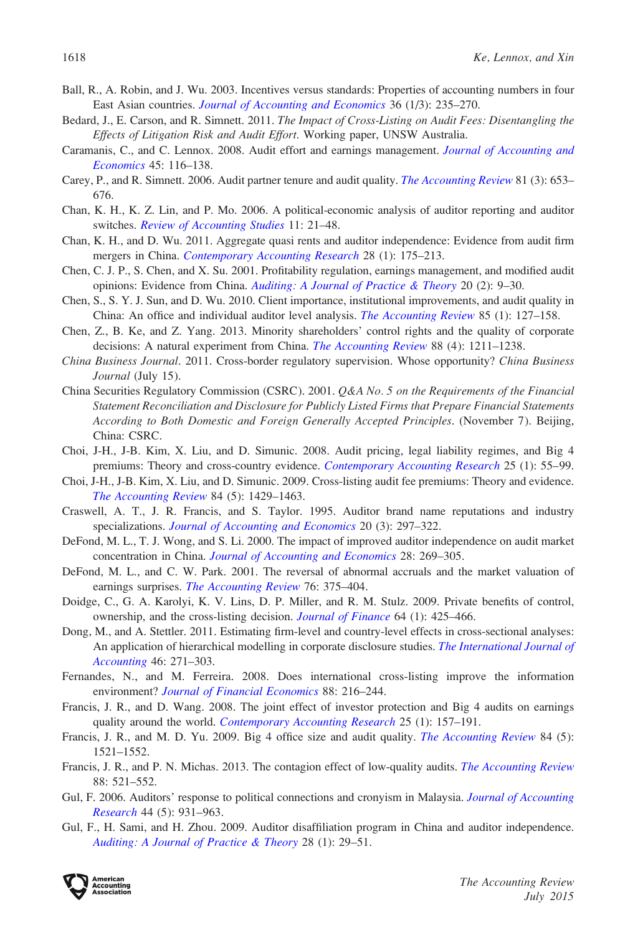- <span id="page-27-0"></span>Ball, R., A. Robin, and J. Wu. 2003. Incentives versus standards: Properties of accounting numbers in four East Asian countries. [Journal of Accounting and Economics](dx.doi.org/10.1016/j.jacceco.2003.10.003) 36 (1/3): 235–270.
- Bedard, J., E. Carson, and R. Simnett. 2011. The Impact of Cross-Listing on Audit Fees: Disentangling the Effects of Litigation Risk and Audit Effort. Working paper, UNSW Australia.
- Caramanis, C., and C. Lennox. 2008. Audit effort and earnings management. [Journal of Accounting and](dx.doi.org/10.1016/j.jacceco.2007.05.002) [Economics](dx.doi.org/10.1016/j.jacceco.2007.05.002) 45: 116–138.
- Carey, P., and R. Simnett. 2006. Audit partner tenure and audit quality. *[The Accounting Review](dx.doi.org/10.2308/accr.2006.81.3.653)* 81 (3): 653– 676.
- Chan, K. H., K. Z. Lin, and P. Mo. 2006. A political-economic analysis of auditor reporting and auditor switches. [Review of Accounting Studies](dx.doi.org/10.1007/s11142-006-6394-z) 11: 21–48.
- Chan, K. H., and D. Wu. 2011. Aggregate quasi rents and auditor independence: Evidence from audit firm mergers in China. [Contemporary Accounting Research](dx.doi.org/10.1111/j.1911-3846.2010.01046.x) 28 (1): 175–213.
- Chen, C. J. P., S. Chen, and X. Su. 2001. Profitability regulation, earnings management, and modified audit opinions: Evidence from China. [Auditing: A Journal of Practice & Theory](dx.doi.org/10.2308/aud.2001.20.2.9) 20 (2): 9–30.
- Chen, S., S. Y. J. Sun, and D. Wu. 2010. Client importance, institutional improvements, and audit quality in China: An office and individual auditor level analysis. [The Accounting Review](dx.doi.org/10.2308/accr.2010.85.1.127) 85 (1): 127–158.
- Chen, Z., B. Ke, and Z. Yang. 2013. Minority shareholders' control rights and the quality of corporate decisions: A natural experiment from China. [The Accounting Review](dx.doi.org/10.2308/accr-50424) 88 (4): 1211–1238.
- China Business Journal. 2011. Cross-border regulatory supervision. Whose opportunity? China Business Journal (July 15).
- China Securities Regulatory Commission (CSRC). 2001. Q&A No. 5 on the Requirements of the Financial Statement Reconciliation and Disclosure for Publicly Listed Firms that Prepare Financial Statements According to Both Domestic and Foreign Generally Accepted Principles. (November 7). Beijing, China: CSRC.
- Choi, J-H., J-B. Kim, X. Liu, and D. Simunic. 2008. Audit pricing, legal liability regimes, and Big 4 premiums: Theory and cross-country evidence. [Contemporary Accounting Research](dx.doi.org/10.1506/car.25.1.2) 25 (1): 55–99.
- Choi, J-H., J-B. Kim, X. Liu, and D. Simunic. 2009. Cross-listing audit fee premiums: Theory and evidence. [The Accounting Review](dx.doi.org/10.2308/accr.2009.84.5.1429) 84 (5): 1429–1463.
- Craswell, A. T., J. R. Francis, and S. Taylor. 1995. Auditor brand name reputations and industry specializations. [Journal of Accounting and Economics](dx.doi.org/10.1016/0165-4101(95)00403-3) 20 (3): 297–322.
- DeFond, M. L., T. J. Wong, and S. Li. 2000. The impact of improved auditor independence on audit market concentration in China. [Journal of Accounting and Economics](dx.doi.org/10.1016/S0165-4101(00)00005-7) 28: 269–305.
- DeFond, M. L., and C. W. Park. 2001. The reversal of abnormal accruals and the market valuation of earnings surprises. [The Accounting Review](dx.doi.org/10.2308/accr.2001.76.3.375) 76: 375–404.
- Doidge, C., G. A. Karolyi, K. V. Lins, D. P. Miller, and R. M. Stulz. 2009. Private benefits of control, ownership, and the cross-listing decision. [Journal of Finance](dx.doi.org/10.1111/j.1540-6261.2008.01438.x) 64 (1): 425–466.
- Dong, M., and A. Stettler. 2011. Estimating firm-level and country-level effects in cross-sectional analyses: An application of hierarchical modelling in corporate disclosure studies. [The International Journal of](dx.doi.org/10.1016/j.intacc.2011.07.002) [Accounting](dx.doi.org/10.1016/j.intacc.2011.07.002) 46: 271–303.
- Fernandes, N., and M. Ferreira. 2008. Does international cross-listing improve the information environment? [Journal of Financial Economics](dx.doi.org/10.1016/j.jfineco.2007.06.002) 88: 216-244.
- Francis, J. R., and D. Wang. 2008. The joint effect of investor protection and Big 4 audits on earnings quality around the world. [Contemporary Accounting Research](dx.doi.org/10.1506/car.25.1.6) 25 (1): 157-191.
- Francis, J. R., and M. D. Yu. 2009. Big 4 office size and audit quality. *[The Accounting Review](dx.doi.org/10.2308/accr.2009.84.5.1521)* 84 (5): 1521–1552.
- Francis, J. R., and P. N. Michas. 2013. The contagion effect of low-quality audits. *[The Accounting Review](dx.doi.org/10.2308/accr-50322)* 88: 521–552.
- Gul, F. 2006. Auditors' response to political connections and cronyism in Malaysia. [Journal of Accounting](dx.doi.org/10.1111/j.1475-679X.2006.00220.x) [Research](dx.doi.org/10.1111/j.1475-679X.2006.00220.x) 44 (5): 931–963.
- Gul, F., H. Sami, and H. Zhou. 2009. Auditor disaffiliation program in China and auditor independence. [Auditing: A Journal of Practice](dx.doi.org/10.2308/aud.2009.28.1.29) & [Theory](dx.doi.org/10.2308/aud.2009.28.1.29) 28 (1): 29-51.